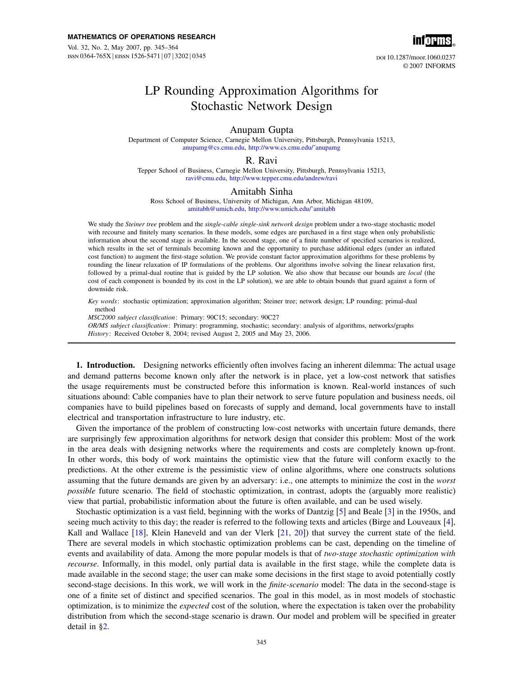Vol. 32, No. 2, May 2007, pp. 345–364 ISSN 0364-765X EISSN 1526-5471 | 07 | 3202 | 0345



doi 10.1287/moor.1060.0237 © 2007 INFORMS

# LP Rounding Approximation Algorithms for Stochastic Network Design

## Anupam Gupta

Department of Computer Science, Carnegie Mellon University, Pittsburgh, Pennsylvania 15213, [anupamg@cs.cmu.edu,](mailto:anupamg@cs.cmu.edu) [http://www.cs.cmu.edu/˜anupamg](http://www.cs.cmu.edu/~anupamg)

## R. Ravi

Tepper School of Business, Carnegie Mellon University, Pittsburgh, Pennsylvania 15213, [ravi@cmu.edu,](mailto:ravi@cmu.edu) <http://www.tepper.cmu.edu/andrew/ravi>

## Amitabh Sinha

Ross School of Business, University of Michigan, Ann Arbor, Michigan 48109, [amitabh@umich.edu,](mailto:amitabh@umich.edu) [http://www.umich.edu/˜amitabh](http://www.umich.edu/~amitabh)

We study the Steiner tree problem and the single-cable single-sink network design problem under a two-stage stochastic model with recourse and finitely many scenarios. In these models, some edges are purchased in a first stage when only probabilistic information about the second stage is available. In the second stage, one of a finite number of specified scenarios is realized, which results in the set of terminals becoming known and the opportunity to purchase additional edges (under an inflated cost function) to augment the first-stage solution. We provide constant factor approximation algorithms for these problems by rounding the linear relaxation of IP formulations of the problems. Our algorithms involve solving the linear relaxation first, followed by a primal-dual routine that is guided by the LP solution. We also show that because our bounds are local (the cost of each component is bounded by its cost in the LP solution), we are able to obtain bounds that guard against a form of downside risk.

Key words: stochastic optimization; approximation algorithm; Steiner tree; network design; LP rounding; primal-dual method

MSC2000 subject classification: Primary: 90C15; secondary: 90C27

OR/MS subject classification: Primary: programming, stochastic; secondary: analysis of algorithms, networks/graphs History: Received October 8, 2004; revised August 2, 2005 and May 23, 2006.

1. Introduction. Designing networks efficiently often involves facing an inherent dilemma: The actual usage and demand patterns become known only after the network is in place, yet a low-cost network that satisfies the usage requirements must be constructed before this information is known. Real-world instances of such situations abound: Cable companies have to plan their network to serve future population and business needs, oil companies have to build pipelines based on forecasts of supply and demand, local governments have to install electrical and transportation infrastructure to lure industry, etc.

Given the importance of the problem of constructing low-cost networks with uncertain future demands, there are surprisingly few approximation algorithms for network design that consider this problem: Most of the work in the area deals with designing networks where the requirements and costs are completely known up-front. In other words, this body of work maintains the optimistic view that the future will conform exactly to the predictions. At the other extreme is the pessimistic view of online algorithms, where one constructs solutions assuming that the future demands are given by an adversary: i.e., one attempts to minimize the cost in the worst possible future scenario. The field of stochastic optimization, in contrast, adopts the (arguably more realistic) view that partial, probabilistic information about the future is often available, and can be used wisely.

Stochastic optimization is a vast field, beginning with the works of Dantzig [\[5\]](#page-18-0) and Beale [\[3\]](#page-18-0) in the 1950s, and seeing much activity to this day; the reader is referred to the following texts and articles (Birge and Louveaux [\[4\]](#page-18-0), Kall and Wallace [\[18\]](#page-19-0), Klein Haneveld and van der Vlerk [\[21,](#page-19-0) [20\]](#page-19-0)) that survey the current state of the field. There are several models in which stochastic optimization problems can be cast, depending on the timeline of events and availability of data. Among the more popular models is that of two-stage stochastic optimization with recourse. Informally, in this model, only partial data is available in the first stage, while the complete data is made available in the second stage; the user can make some decisions in the first stage to avoid potentially costly second-stage decisions. In this work, we will work in the *finite-scenario* model: The data in the second-stage is one of a finite set of distinct and specified scenarios. The goal in this model, as in most models of stochastic optimization, is to minimize the expected cost of the solution, where the expectation is taken over the probability distribution from which the second-stage scenario is drawn. Our model and problem will be specified in greater detail in [§2.](#page-1-0)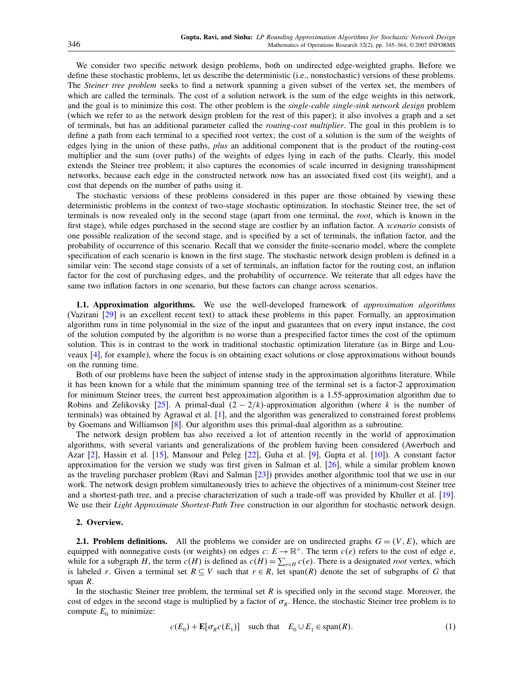<span id="page-1-0"></span>We consider two specific network design problems, both on undirected edge-weighted graphs. Before we define these stochastic problems, let us describe the deterministic (i.e., nonstochastic) versions of these problems. The *Steiner tree problem* seeks to find a network spanning a given subset of the vertex set, the members of which are called the terminals. The cost of a solution network is the sum of the edge weights in this network, and the goal is to minimize this cost. The other problem is the *single-cable single-sink network design* problem (which we refer to as the network design problem for the rest of this paper); it also involves a graph and a set of terminals, but has an additional parameter called the routing-cost multiplier. The goal in this problem is to define a path from each terminal to a specified root vertex; the cost of a solution is the sum of the weights of edges lying in the union of these paths, plus an additional component that is the product of the routing-cost multiplier and the sum (over paths) of the weights of edges lying in each of the paths. Clearly, this model extends the Steiner tree problem; it also captures the economies of scale incurred in designing transshipment networks, because each edge in the constructed network now has an associated fixed cost (its weight), and a cost that depends on the number of paths using it.

The stochastic versions of these problems considered in this paper are those obtained by viewing these deterministic problems in the context of two-stage stochastic optimization. In stochastic Steiner tree, the set of terminals is now revealed only in the second stage (apart from one terminal, the root, which is known in the first stage), while edges purchased in the second stage are costlier by an inflation factor. A scenario consists of one possible realization of the second stage, and is specified by a set of terminals, the inflation factor, and the probability of occurrence of this scenario. Recall that we consider the finite-scenario model, where the complete specification of each scenario is known in the first stage. The stochastic network design problem is defined in a similar vein: The second stage consists of a set of terminals, an inflation factor for the routing cost, an inflation factor for the cost of purchasing edges, and the probability of occurrence. We reiterate that all edges have the same two inflation factors in one scenario, but these factors can change across scenarios.

1.1. Approximation algorithms. We use the well-developed framework of approximation algorithms (Vazirani [\[29\]](#page-19-0) is an excellent recent text) to attack these problems in this paper. Formally, an approximation algorithm runs in time polynomial in the size of the input and guarantees that on every input instance, the cost of the solution computed by the algorithm is no worse than a prespecified factor times the cost of the optimum solution. This is in contrast to the work in traditional stochastic optimization literature (as in Birge and Louveaux [\[4\]](#page-18-0), for example), where the focus is on obtaining exact solutions or close approximations without bounds on the running time.

Both of our problems have been the subject of intense study in the approximation algorithms literature. While it has been known for a while that the minimum spanning tree of the terminal set is a factor-2 approximation for minimum Steiner trees, the current best approximation algorithm is a 1.55-approximation algorithm due to Robins and Zelikovsky [\[25\]](#page-19-0). A primal-dual  $(2 - 2/k)$ -approximation algorithm (where k is the number of terminals) was obtained by Agrawal et al. [\[1\]](#page-18-0), and the algorithm was generalized to constrained forest problems by Goemans and Williamson [\[8\]](#page-18-0). Our algorithm uses this primal-dual algorithm as a subroutine.

The network design problem has also received a lot of attention recently in the world of approximation algorithms, with several variants and generalizations of the problem having been considered (Awerbuch and Azar [\[2\]](#page-18-0), Hassin et al. [\[15\]](#page-18-0), Mansour and Peleg [\[22\]](#page-19-0), Guha et al. [\[9\]](#page-18-0), Gupta et al. [\[10\]](#page-18-0)). A constant factor approximation for the version we study was first given in Salman et al. [\[26\]](#page-19-0), while a similar problem known as the traveling purchaser problem (Ravi and Salman [\[23\]](#page-19-0)) provides another algorithmic tool that we use in our work. The network design problem simultaneously tries to achieve the objectives of a minimum-cost Steiner tree and a shortest-path tree, and a precise characterization of such a trade-off was provided by Khuller et al. [\[19\]](#page-19-0). We use their *Light Approximate Shortest-Path Tree* construction in our algorithm for stochastic network design.

#### 2. Overview.

2.1. Problem definitions. All the problems we consider are on undirected graphs  $G = (V, E)$ , which are equipped with nonnegative costs (or weights) on edges  $c: E \to \mathbb{R}^+$ . The term  $c(e)$  refers to the cost of edge e, while for a subgraph H, the term  $c(H)$  is defined as  $c(H) = \sum_{e \in H} c(e)$ . There is a designated *root* vertex, which is labeled r. Given a terminal set  $R \subseteq V$  such that  $r \in R$ , let span $(R)$  denote the set of subgraphs of G that span R.

In the stochastic Steiner tree problem, the terminal set  $R$  is specified only in the second stage. Moreover, the cost of edges in the second stage is multiplied by a factor of  $\sigma_R$ . Hence, the stochastic Steiner tree problem is to compute  $E_0$  to minimize:

$$
c(E_0) + \mathbf{E}[\sigma_R c(E_1)] \quad \text{such that} \quad E_0 \cup E_1 \in \text{span}(R). \tag{1}
$$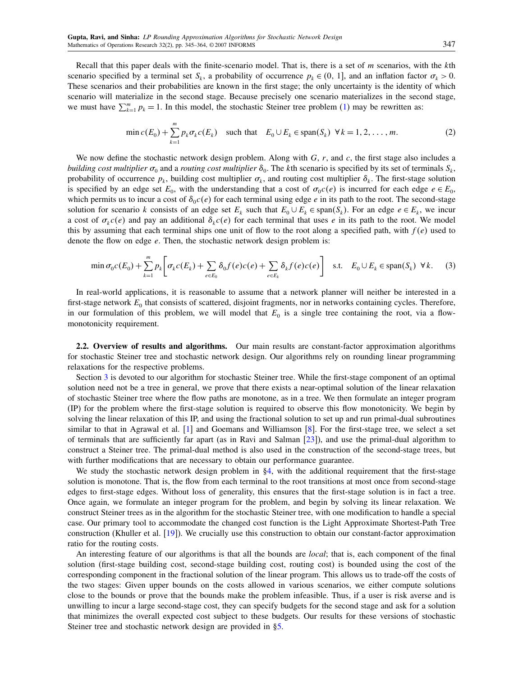Recall that this paper deals with the finite-scenario model. That is, there is a set of  $m$  scenarios, with the  $k$ th scenario specified by a terminal set  $S_k$ , a probability of occurrence  $p_k \in (0, 1]$ , and an inflation factor  $\sigma_k > 0$ . These scenarios and their probabilities are known in the first stage; the only uncertainty is the identity of which scenario will materialize in the second stage. Because precisely one scenario materializes in the second stage, we must have  $\sum_{k=1}^{m} p_k = 1$ . In this model, the stochastic Steiner tree problem [\(1\)](#page-1-0) may be rewritten as:

$$
\min c(E_0) + \sum_{k=1}^{m} p_k \sigma_k c(E_k) \quad \text{such that} \quad E_0 \cup E_k \in \text{span}(S_k) \ \forall k = 1, 2, \dots, m. \tag{2}
$$

We now define the stochastic network design problem. Along with  $G$ ,  $r$ , and  $c$ , the first stage also includes a building cost multiplier  $\sigma_0$  and a routing cost multiplier  $\delta_0$ . The kth scenario is specified by its set of terminals  $S_k$ , probability of occurrence  $p_k$ , building cost multiplier  $\sigma_k$ , and routing cost multiplier  $\delta_k$ . The first-stage solution is specified by an edge set  $E_0$ , with the understanding that a cost of  $\sigma_0c(e)$  is incurred for each edge  $e \in E_0$ , which permits us to incur a cost of  $\delta_0 c(e)$  for each terminal using edge e in its path to the root. The second-stage solution for scenario k consists of an edge set  $E_k$  such that  $E_0 \cup E_k \in \text{span}(S_k)$ . For an edge  $e \in E_k$ , we incur a cost of  $\sigma_k c(e)$  and pay an additional  $\delta_k c(e)$  for each terminal that uses e in its path to the root. We model this by assuming that each terminal ships one unit of flow to the root along a specified path, with  $f(e)$  used to denote the flow on edge  $e$ . Then, the stochastic network design problem is:

$$
\min \sigma_0 c(E_0) + \sum_{k=1}^m p_k \bigg[ \sigma_k c(E_k) + \sum_{e \in E_0} \delta_0 f(e) c(e) + \sum_{e \in E_k} \delta_k f(e) c(e) \bigg] \quad \text{s.t.} \quad E_0 \cup E_k \in \text{span}(S_k) \ \forall k. \tag{3}
$$

In real-world applications, it is reasonable to assume that a network planner will neither be interested in a first-stage network  $E_0$  that consists of scattered, disjoint fragments, nor in networks containing cycles. Therefore, in our formulation of this problem, we will model that  $E_0$  is a single tree containing the root, via a flowmonotonicity requirement.

2.2. Overview of results and algorithms. Our main results are constant-factor approximation algorithms for stochastic Steiner tree and stochastic network design. Our algorithms rely on rounding linear programming relaxations for the respective problems.

Section [3](#page-3-0) is devoted to our algorithm for stochastic Steiner tree. While the first-stage component of an optimal solution need not be a tree in general, we prove that there exists a near-optimal solution of the linear relaxation of stochastic Steiner tree where the flow paths are monotone, as in a tree. We then formulate an integer program (IP) for the problem where the first-stage solution is required to observe this flow monotonicity. We begin by solving the linear relaxation of this IP, and using the fractional solution to set up and run primal-dual subroutines similar to that in Agrawal et al.  $\begin{bmatrix} 1 \end{bmatrix}$  and Goemans and Williamson  $\begin{bmatrix} 8 \end{bmatrix}$ . For the first-stage tree, we select a set of terminals that are sufficiently far apart (as in Ravi and Salman [\[23\]](#page-19-0)), and use the primal-dual algorithm to construct a Steiner tree. The primal-dual method is also used in the construction of the second-stage trees, but with further modifications that are necessary to obtain our performance guarantee.

We study the stochastic network design problem in [§4,](#page-11-0) with the additional requirement that the first-stage solution is monotone. That is, the flow from each terminal to the root transitions at most once from second-stage edges to first-stage edges. Without loss of generality, this ensures that the first-stage solution is in fact a tree. Once again, we formulate an integer program for the problem, and begin by solving its linear relaxation. We construct Steiner trees as in the algorithm for the stochastic Steiner tree, with one modification to handle a special case. Our primary tool to accommodate the changed cost function is the Light Approximate Shortest-Path Tree construction (Khuller et al. [\[19\]](#page-19-0)). We crucially use this construction to obtain our constant-factor approximation ratio for the routing costs.

An interesting feature of our algorithms is that all the bounds are local; that is, each component of the final solution (first-stage building cost, second-stage building cost, routing cost) is bounded using the cost of the corresponding component in the fractional solution of the linear program. This allows us to trade-off the costs of the two stages: Given upper bounds on the costs allowed in various scenarios, we either compute solutions close to the bounds or prove that the bounds make the problem infeasible. Thus, if a user is risk averse and is unwilling to incur a large second-stage cost, they can specify budgets for the second stage and ask for a solution that minimizes the overall expected cost subject to these budgets. Our results for these versions of stochastic Steiner tree and stochastic network design are provided in [§5.](#page-16-0)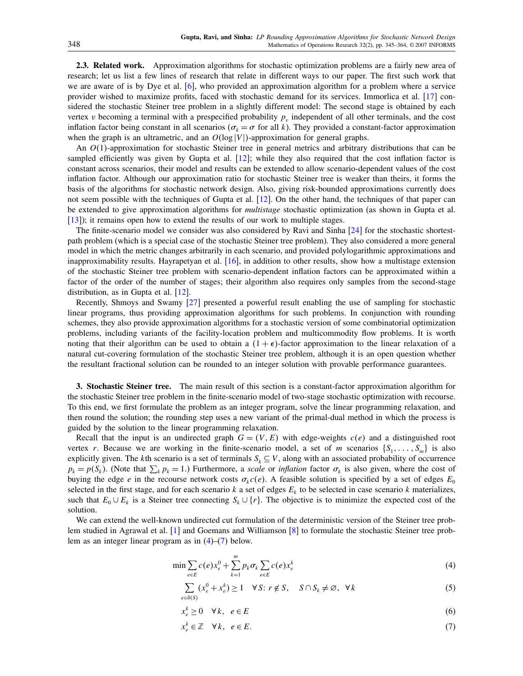<span id="page-3-0"></span>2.3. Related work. Approximation algorithms for stochastic optimization problems are a fairly new area of research; let us list a few lines of research that relate in different ways to our paper. The first such work that we are aware of is by Dye et al. [\[6\]](#page-18-0), who provided an approximation algorithm for a problem where a service provider wished to maximize profits, faced with stochastic demand for its services. Immorlica et al. [\[17\]](#page-18-0) considered the stochastic Steiner tree problem in a slightly different model: The second stage is obtained by each vertex v becoming a terminal with a prespecified probability  $p<sub>v</sub>$  independent of all other terminals, and the cost inflation factor being constant in all scenarios ( $\sigma_k = \sigma$  for all k). They provided a constant-factor approximation when the graph is an ultrametric, and an  $O(\log |V|)$ -approximation for general graphs.

An  $O(1)$ -approximation for stochastic Steiner tree in general metrics and arbitrary distributions that can be sampled efficiently was given by Gupta et al. [\[12\]](#page-18-0); while they also required that the cost inflation factor is constant across scenarios, their model and results can be extended to allow scenario-dependent values of the cost inflation factor. Although our approximation ratio for stochastic Steiner tree is weaker than theirs, it forms the basis of the algorithms for stochastic network design. Also, giving risk-bounded approximations currently does not seem possible with the techniques of Gupta et al. [\[12\]](#page-18-0). On the other hand, the techniques of that paper can be extended to give approximation algorithms for *multistage* stochastic optimization (as shown in Gupta et al. [\[13\]](#page-18-0)); it remains open how to extend the results of our work to multiple stages.

The finite-scenario model we consider was also considered by Ravi and Sinha [\[24\]](#page-19-0) for the stochastic shortestpath problem (which is a special case of the stochastic Steiner tree problem). They also considered a more general model in which the metric changes arbitrarily in each scenario, and provided polylogarithmic approximations and inapproximability results. Hayrapetyan et al. [\[16\]](#page-18-0), in addition to other results, show how a multistage extension of the stochastic Steiner tree problem with scenario-dependent inflation factors can be approximated within a factor of the order of the number of stages; their algorithm also requires only samples from the second-stage distribution, as in Gupta et al. [\[12\]](#page-18-0).

Recently, Shmoys and Swamy [\[27\]](#page-19-0) presented a powerful result enabling the use of sampling for stochastic linear programs, thus providing approximation algorithms for such problems. In conjunction with rounding schemes, they also provide approximation algorithms for a stochastic version of some combinatorial optimization problems, including variants of the facility-location problem and multicommodity flow problems. It is worth noting that their algorithm can be used to obtain a  $(1 + \epsilon)$ -factor approximation to the linear relaxation of a natural cut-covering formulation of the stochastic Steiner tree problem, although it is an open question whether the resultant fractional solution can be rounded to an integer solution with provable performance guarantees.

3. Stochastic Steiner tree. The main result of this section is a constant-factor approximation algorithm for the stochastic Steiner tree problem in the finite-scenario model of two-stage stochastic optimization with recourse. To this end, we first formulate the problem as an integer program, solve the linear programming relaxation, and then round the solution; the rounding step uses a new variant of the primal-dual method in which the process is guided by the solution to the linear programming relaxation.

Recall that the input is an undirected graph  $G = (V, E)$  with edge-weights  $c(e)$  and a distinguished root vertex r. Because we are working in the finite-scenario model, a set of m scenarios  $\{S_1, \ldots, S_m\}$  is also explicitly given. The kth scenario is a set of terminals  $S_k \subseteq V$ , along with an associated probability of occurrence  $p_k = p(S_k)$ . (Note that  $\sum_k p_k = 1$ .) Furthermore, a scale or inflation factor  $\sigma_k$  is also given, where the cost of buying the edge e in the recourse network costs  $\sigma_k c(e)$ . A feasible solution is specified by a set of edges  $E_0$ selected in the first stage, and for each scenario k a set of edges  $E_k$  to be selected in case scenario k materializes, such that  $E_0 \cup E_k$  is a Steiner tree connecting  $S_k \cup \{r\}$ . The objective is to minimize the expected cost of the solution.

We can extend the well-known undirected cut formulation of the deterministic version of the Steiner tree problem studied in Agrawal et al. [\[1\]](#page-18-0) and Goemans and Williamson [\[8\]](#page-18-0) to formulate the stochastic Steiner tree problem as an integer linear program as in  $(4)$ – $(7)$  below.

$$
\min \sum_{e \in E} c(e) x_e^0 + \sum_{k=1}^m p_k \sigma_k \sum_{e \in E} c(e) x_e^k \tag{4}
$$

$$
\sum_{e \in \delta(S)} (x_e^0 + x_e^k) \ge 1 \quad \forall S: \ r \notin S, \quad S \cap S_k \ne \emptyset, \ \forall k
$$
 (5)

$$
x_e^k \ge 0 \quad \forall k, \ e \in E \tag{6}
$$

$$
x_e^k \in \mathbb{Z} \quad \forall \, k, \ e \in E. \tag{7}
$$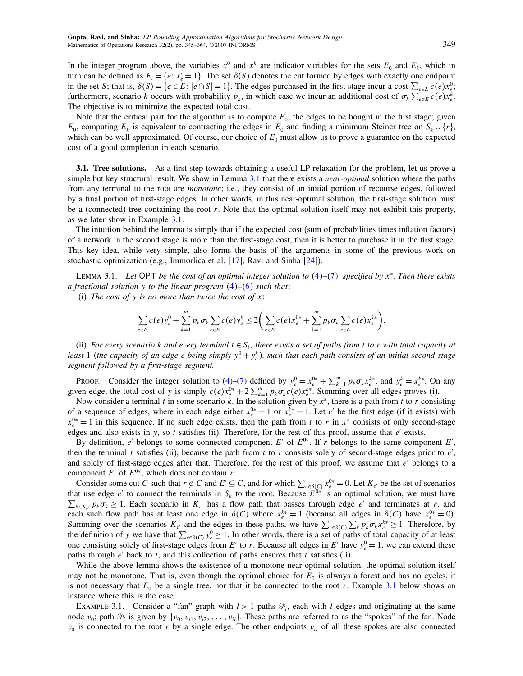<span id="page-4-0"></span>In the integer program above, the variables  $x^0$  and  $x^k$  are indicator variables for the sets  $E_0$  and  $E_k$ , which in turn can be defined as  $E_i = \{e: x_e^i = 1\}$ . The set  $\delta(S)$  denotes the cut formed by edges with exactly one endpoint in the set S; that is,  $\delta(S) = \{e \in E : |e \cap S| = 1\}$ . The edges purchased in the first stage incur a cost  $\sum_{e \in E} c(e) x_e^0$ ; furthermore, scenario k occurs with probability  $p_k$ , in which case we incur an additional cost of  $\sigma_k \sum_{e \in E} c(e) x_e^k$ . The objective is to minimize the expected total cost.

Note that the critical part for the algorithm is to compute  $E_0$ , the edges to be bought in the first stage; given E<sub>0</sub>, computing E<sub>k</sub> is equivalent to contracting the edges in E<sub>0</sub> and finding a minimum Steiner tree on  $S_k \cup \{r\}$ , which can be well approximated. Of course, our choice of  $E_0$  must allow us to prove a guarantee on the expected cost of a good completion in each scenario.

3.1. Tree solutions. As a first step towards obtaining a useful LP relaxation for the problem, let us prove a simple but key structural result. We show in Lemma 3.1 that there exists a *near-optimal* solution where the paths from any terminal to the root are monotone; i.e., they consist of an initial portion of recourse edges, followed by a final portion of first-stage edges. In other words, in this near-optimal solution, the first-stage solution must be a (connected) tree containing the root  $r$ . Note that the optimal solution itself may not exhibit this property, as we later show in Example 3.1.

The intuition behind the lemma is simply that if the expected cost (sum of probabilities times inflation factors) of a network in the second stage is more than the first-stage cost, then it is better to purchase it in the first stage. This key idea, while very simple, also forms the basis of the arguments in some of the previous work on stochastic optimization (e.g., Immorlica et al. [\[17\]](#page-18-0), Ravi and Sinha [\[24\]](#page-19-0)).

LEMMA 3.1. Let OPT be the cost of an optimal integer solution to  $(4)$ – $(7)$ , specified by x<sup>∗</sup>. Then there exists a fractional solution y to the linear program  $(4)$ – $(6)$  such that:

(i) The cost of y is no more than twice the cost of x:

$$
\sum_{e \in E} c(e) y_e^0 + \sum_{k=1}^m p_k \sigma_k \sum_{e \in E} c(e) y_e^k \le 2 \left( \sum_{e \in E} c(e) x_e^{0*} + \sum_{k=1}^m p_k \sigma_k \sum_{e \in E} c(e) x_e^{k*} \right).
$$

(ii) For every scenario k and every terminal  $t \in S_k$ , there exists a set of paths from t to r with total capacity at least 1 (the capacity of an edge e being simply  $y_e^0 + y_e^k$ ), such that each path consists of an initial second-stage segment followed by a first-stage segment.

PROOF. Consider the integer solution to [\(4\)](#page-3-0)–[\(7\)](#page-3-0) defined by  $y_e^0 = x_e^{0*} + \sum_{k=1}^m p_k \sigma_k x_e^{k*}$ , and  $y_e^k = x_e^{k*}$ . On any given edge, the total cost of y is simply  $c(e)x_e^{0*} + 2\sum_{k=1}^m p_k \sigma_k c(e)x_e^{k*}$ . Summing over all edges proves (i).

Now consider a terminal t in some scenario k. In the solution given by  $x^*$ , there is a path from t to r consisting of a sequence of edges, where in each edge either  $x_e^{0*} = 1$  or  $x_e^{k*} = 1$ . Let e' be the first edge (if it exists) with  $x_e^{0*} = 1$  in this sequence. If no such edge exists, then the path from t to r in  $x^*$  consists of only second-stage edges and also exists in y, so t satisfies (ii). Therefore, for the rest of this proof, assume that  $e'$  exists.

By definition, e' belongs to some connected component E' of  $E^{0*}$ . If r belongs to the same component E', then the terminal t satisfies (ii), because the path from t to r consists solely of second-stage edges prior to  $e'$ , and solely of first-stage edges after that. Therefore, for the rest of this proof, we assume that  $e'$  belongs to a component E' of  $E^{0*}$ , which does not contain r.

Consider some cut C such that  $r \notin C$  and  $E' \subseteq C$ , and for which  $\sum_{e \in \delta(C)} x_e^{0*} = 0$ . Let  $K_{e'}$  be the set of scenarios that use edge e' to connect the terminals in  $S_k$  to the root. Because  $E^{0*}$  is an optimal solution, we must have  $\sum_{k\in K_{\nu}} p_k \sigma_k \ge 1$ . Each scenario in  $K_{e'}$  has a flow path that passes through edge e' and terminates at r, and each such flow path has at least one edge in  $\delta(C)$  where  $x_e^{k*} = 1$  (because all edges in  $\delta(C)$  have  $x_e^{0*} = 0$ ). Summing over the scenarios  $K_{e'}$  and the edges in these paths, we have  $\sum_{e \in \delta(C)} \sum_k p_k \sigma_k x_e^{k*} \ge 1$ . Therefore, by the definition of y we have that  $\sum_{e \in \delta(C)} y_e^0 \ge 1$ . In other words, there is a set of paths of total capacity of at least one consisting solely of first-stage edges from E' to r. Because all edges in E' have  $y_e^0 = 1$ , we can extend these paths through e' back to t, and this collection of paths ensures that t satisfies (ii).  $\Box$ 

While the above lemma shows the existence of a monotone near-optimal solution, the optimal solution itself may not be monotone. That is, even though the optimal choice for  $E_0$  is always a forest and has no cycles, it is not necessary that  $E_0$  be a single tree, nor that it be connected to the root r. Example 3.1 below shows an instance where this is the case.

EXAMPLE 3.1. Consider a "fan" graph with  $l > 1$  paths  $\mathcal{P}_i$ , each with l edges and originating at the same node  $v_0$ ; path  $\mathcal{P}_i$  is given by  $\{v_0, v_{i1}, v_{i2}, \ldots, v_{ii}\}$ . These paths are referred to as the "spokes" of the fan. Node  $v_0$  is connected to the root r by a single edge. The other endpoints  $v_{il}$  of all these spokes are also connected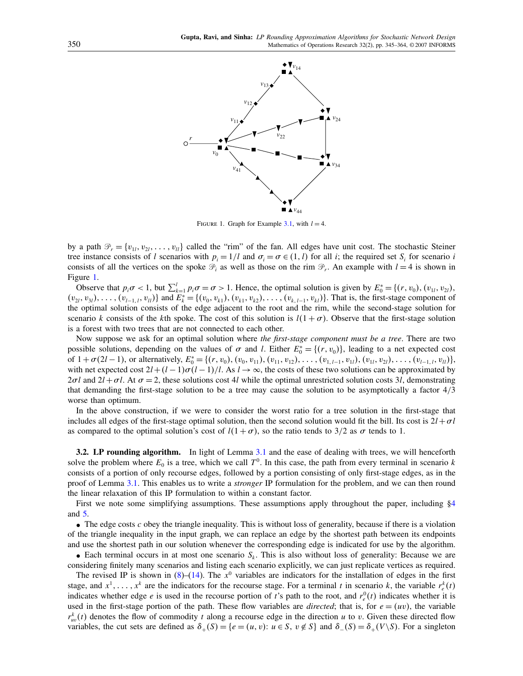<span id="page-5-0"></span>

FIGURE 1. Graph for Example [3.1,](#page-4-0) with  $l = 4$ .

by a path  $\mathcal{P}_r = \{v_{1l}, v_{2l}, \ldots, v_{ll}\}\$ called the "rim" of the fan. All edges have unit cost. The stochastic Steiner tree instance consists of l scenarios with  $p_i = 1/l$  and  $\sigma_i = \sigma \in (1, l)$  for all i; the required set  $S_i$  for scenario i consists of all the vertices on the spoke  $\mathcal{P}_i$  as well as those on the rim  $\mathcal{P}_r$ . An example with  $l = 4$  is shown in Figure 1.

Observe that  $p_i \sigma < 1$ , but  $\sum_{k=1}^l p_i \sigma = \sigma > 1$ . Hence, the optimal solution is given by  $E_0^* = \{(r, v_0), (v_{1l}, v_{2l}),$  $(v_{2l}, v_{3l}), \ldots, (v_{l-1, l}, v_{ll})\}$  and  $E^*_k = \{(v_0, v_{k1}), (v_{k1}, v_{k2}), \ldots, (v_{k, l-1}, v_{kl})\}$ . That is, the first-stage component of the optimal solution consists of the edge adjacent to the root and the rim, while the second-stage solution for scenario k consists of the kth spoke. The cost of this solution is  $l(1 + \sigma)$ . Observe that the first-stage solution is a forest with two trees that are not connected to each other.

Now suppose we ask for an optimal solution where the first-stage component must be a tree. There are two possible solutions, depending on the values of  $\sigma$  and *l*. Either  $E_0^* = \{(r, v_0)\}\,$  leading to a net expected cost of  $1 + \sigma(2l - 1)$ , or alternatively,  $E_0^* = \{(r, v_0), (v_0, v_{11}), (v_{11}, v_{12}), \dots, (v_{1, l-1}, v_{1l}), (v_{1l}, v_{2l}), \dots, (v_{l-1, l}, v_{ll})\},\$ with net expected cost  $2l + (l - 1)\sigma(l - 1)/l$ . As  $l \to \infty$ , the costs of these two solutions can be approximated by  $2\sigma l$  and  $2l+\sigma l$ . At  $\sigma = 2$ , these solutions cost 4l while the optimal unrestricted solution costs 3l, demonstrating that demanding the first-stage solution to be a tree may cause the solution to be asymptotically a factor 4/3 worse than optimum.

In the above construction, if we were to consider the worst ratio for a tree solution in the first-stage that includes all edges of the first-stage optimal solution, then the second solution would fit the bill. Its cost is  $2l + \sigma l$ as compared to the optimal solution's cost of  $l(1 + \sigma)$ , so the ratio tends to 3/2 as  $\sigma$  tends to 1.

3.2. LP rounding algorithm. In light of Lemma [3.1](#page-4-0) and the ease of dealing with trees, we will henceforth solve the problem where  $E_0$  is a tree, which we call  $T^0$ . In this case, the path from every terminal in scenario k consists of a portion of only recourse edges, followed by a portion consisting of only first-stage edges, as in the proof of Lemma [3.1.](#page-4-0) This enables us to write a stronger IP formulation for the problem, and we can then round the linear relaxation of this IP formulation to within a constant factor.

First we note some simplifying assumptions. These assumptions apply throughout the paper, including  $\S4$ and [5.](#page-16-0)

• The edge costs c obey the triangle inequality. This is without loss of generality, because if there is a violation of the triangle inequality in the input graph, we can replace an edge by the shortest path between its endpoints and use the shortest path in our solution whenever the corresponding edge is indicated for use by the algorithm.

• Each terminal occurs in at most one scenario  $S_k$ . This is also without loss of generality: Because we are considering finitely many scenarios and listing each scenario explicitly, we can just replicate vertices as required.

The revised IP is shown in  $(8)-(14)$  $(8)-(14)$  $(8)-(14)$ . The  $x^0$  variables are indicators for the installation of edges in the first stage, and  $x^1, \ldots, x^k$  are the indicators for the recourse stage. For a terminal t in scenario k, the variable  $r_e^k(t)$ indicates whether edge *e* is used in the recourse portion of *t*'s path to the root, and  $r_e^0(t)$  indicates whether it is used in the first-stage portion of the path. These flow variables are *directed*; that is, for  $e = (uv)$ , the variable  $r_{uv}^k(t)$  denotes the flow of commodity t along a recourse edge in the direction u to v. Given these directed flow variables, the cut sets are defined as  $\delta_+(S) = \{e = (u, v): u \in S, v \notin S\}$  and  $\delta_-(S) = \delta_+(V \setminus S)$ . For a singleton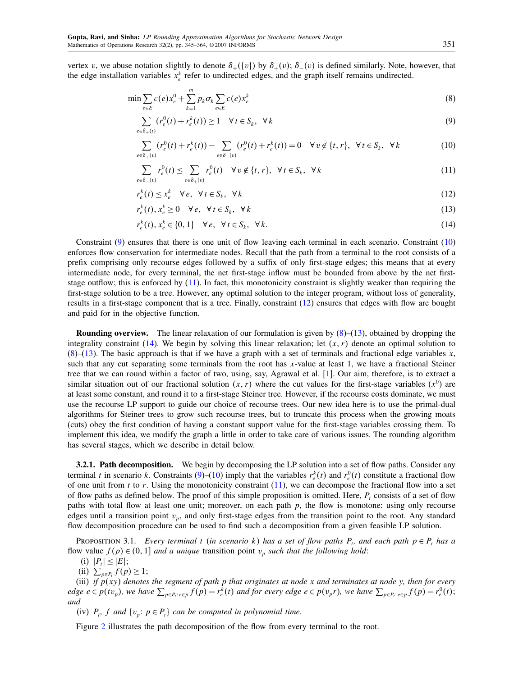<span id="page-6-0"></span>vertex v, we abuse notation slightly to denote  $\delta_+(\{v\})$  by  $\delta_+(v)$ ;  $\delta_-(v)$  is defined similarly. Note, however, that the edge installation variables  $x_e^k$  refer to undirected edges, and the graph itself remains undirected.

$$
\min \sum_{e \in E} c(e) x_e^0 + \sum_{k=1}^m p_k \sigma_k \sum_{e \in E} c(e) x_e^k \tag{8}
$$

$$
\sum_{e \in \delta_+(t)} (r_e^0(t) + r_e^k(t)) \ge 1 \quad \forall \, t \in S_k, \ \forall \, k \tag{9}
$$

$$
\sum_{e \in \delta_+(v)} (r_e^0(t) + r_e^k(t)) - \sum_{e \in \delta_-(v)} (r_e^0(t) + r_e^k(t)) = 0 \quad \forall v \notin \{t, r\}, \ \forall t \in S_k, \ \forall k
$$
 (10)

$$
\sum_{e \in \delta_{-}(v)} r_e^0(t) \le \sum_{e \in \delta_{+}(v)} r_e^0(t) \quad \forall v \notin \{t, r\}, \ \forall t \in S_k, \ \forall k
$$
\n(11)

$$
r_e^k(t) \le x_e^k \quad \forall e, \ \forall t \in S_k, \ \forall k
$$
\n<sup>(12)</sup>

$$
r_e^k(t), x_e^k \ge 0 \quad \forall e, \ \forall t \in S_k, \ \forall k
$$
\n
$$
(13)
$$

$$
r_e^k(t), x_e^k \in \{0, 1\} \quad \forall e, \ \forall t \in S_k, \ \forall k. \tag{14}
$$

Constraint (9) ensures that there is one unit of flow leaving each terminal in each scenario. Constraint (10) enforces flow conservation for intermediate nodes. Recall that the path from a terminal to the root consists of a prefix comprising only recourse edges followed by a suffix of only first-stage edges; this means that at every intermediate node, for every terminal, the net first-stage inflow must be bounded from above by the net firststage outflow; this is enforced by (11). In fact, this monotonicity constraint is slightly weaker than requiring the first-stage solution to be a tree. However, any optimal solution to the integer program, without loss of generality, results in a first-stage component that is a tree. Finally, constraint (12) ensures that edges with flow are bought and paid for in the objective function.

**Rounding overview.** The linear relaxation of our formulation is given by  $(8)$ – $(13)$ , obtained by dropping the integrality constraint (14). We begin by solving this linear relaxation; let  $(x, r)$  denote an optimal solution to  $(8)$ – $(13)$ . The basic approach is that if we have a graph with a set of terminals and fractional edge variables x, such that any cut separating some terminals from the root has x-value at least 1, we have a fractional Steiner tree that we can round within a factor of two, using, say, Agrawal et al. [\[1\]](#page-18-0). Our aim, therefore, is to extract a similar situation out of our fractional solution  $(x, r)$  where the cut values for the first-stage variables  $(x^0)$  are at least some constant, and round it to a first-stage Steiner tree. However, if the recourse costs dominate, we must use the recourse LP support to guide our choice of recourse trees. Our new idea here is to use the primal-dual algorithms for Steiner trees to grow such recourse trees, but to truncate this process when the growing moats (cuts) obey the first condition of having a constant support value for the first-stage variables crossing them. To implement this idea, we modify the graph a little in order to take care of various issues. The rounding algorithm has several stages, which we describe in detail below.

3.2.1. Path decomposition. We begin by decomposing the LP solution into a set of flow paths. Consider any terminal t in scenario k. Constraints (9)–(10) imply that the variables  $r_e^k(t)$  and  $r_e^0(t)$  constitute a fractional flow of one unit from t to r. Using the monotonicity constraint  $(11)$ , we can decompose the fractional flow into a set of flow paths as defined below. The proof of this simple proposition is omitted. Here,  $P<sub>t</sub>$  consists of a set of flow paths with total flow at least one unit; moreover, on each path  $p$ , the flow is monotone: using only recourse edges until a transition point  $v_p$ , and only first-stage edges from the transition point to the root. Any standard flow decomposition procedure can be used to find such a decomposition from a given feasible LP solution.

PROPOSITION 3.1. Every terminal t (in scenario k) has a set of flow paths  $P_t$ , and each path  $p \in P_t$  has a flow value  $f(p) \in (0, 1]$  and a unique transition point  $v_p$  such that the following hold:

(i)  $|P_t| \leq |E|$ ;

(ii)  $\sum_{p\in P_t} f(p) \geq 1;$ 

(iii) if  $p(xy)$  denotes the segment of path p that originates at node x and terminates at node y, then for every edge  $e \in p(tv_p)$ , we have  $\sum_{p \in P_i : e \in p} f(p) = r_e^k(t)$  and for every edge  $e \in p(v_p r)$ , we have  $\sum_{p \in P_i : e \in p} f(p) = r_e^0(t)$ ; and

(iv)  $P_t$ , f and  $\{v_p: p \in P_t\}$  can be computed in polynomial time.

Figure [2](#page-7-0) illustrates the path decomposition of the flow from every terminal to the root.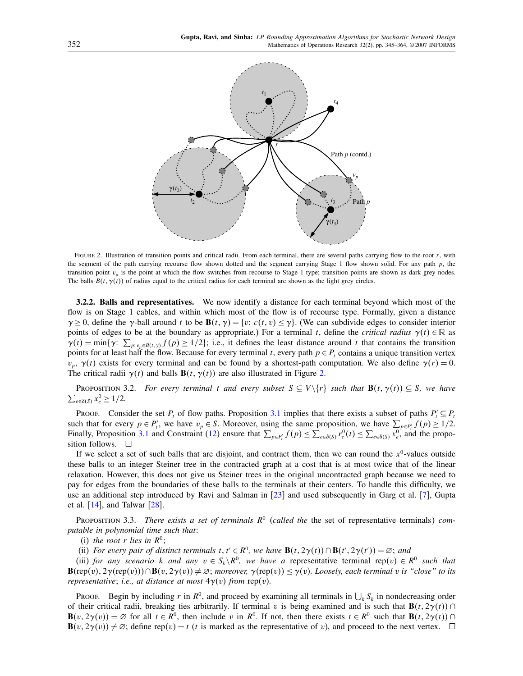<span id="page-7-0"></span>

FIGURE 2. Illustration of transition points and critical radii. From each terminal, there are several paths carrying flow to the root  $r$ , with the segment of the path carrying recourse flow shown dotted and the segment carrying Stage 1 flow shown solid. For any path  $p$ , the transition point  $v_p$  is the point at which the flow switches from recourse to Stage 1 type; transition points are shown as dark grey nodes. The balls  $B(t, \gamma(t))$  of radius equal to the critical radius for each terminal are shown as the light grey circles.

3.2.2. Balls and representatives. We now identify a distance for each terminal beyond which most of the flow is on Stage 1 cables, and within which most of the flow is of recourse type. Formally, given a distance  $\gamma \ge 0$ , define the  $\gamma$ -ball around t to be  $\mathbf{B}(t, \gamma) = \{v : c(t, v) \le \gamma\}$ . (We can subdivide edges to consider interior points of edges to be at the boundary as appropriate.) For a terminal t, define the *critical radius*  $\gamma(t) \in \mathbb{R}$  as  $\gamma(t) = \min{\{\gamma: \sum_{p: v_p \in B(t, \gamma)\}} f(p) \ge 1/2\};$  i.e., it defines the least distance around t that contains the transition points for at least half the flow. Because for every terminal t, every path  $p \in P_t$  contains a unique transition vertex  $v_p$ ,  $\gamma(t)$  exists for every terminal and can be found by a shortest-path computation. We also define  $\gamma(r) = 0$ . The critical radii  $\gamma(t)$  and balls  $\mathbf{B}(t, \gamma(t))$  are also illustrated in Figure 2.

PROPOSITION 3.2. For every terminal t and every subset  $S \subseteq V \setminus \{r\}$  such that  $\mathbf{B}(t, \gamma(t)) \subseteq S$ , we have  $\sum_{e \in \delta(S)} x_e^0 \geq 1/2.$ 

PROOF. Consider the set  $P_t$  of flow paths. Proposition [3.1](#page-6-0) implies that there exists a subset of paths  $P'_t \subseteq P_t$ such that for every  $p \in P'_t$ , we have  $v_p \in S$ . Moreover, using the same proposition, we have  $\sum_{p \in P'_t} f(p) \ge 1/2$ . Finally, Proposition [3.1](#page-6-0) and Constraint [\(12\)](#page-6-0) ensure that  $\sum_{p \in P'_i} f(p) \leq \sum_{e \in \delta(S)} r_e^0(t) \leq \sum_{e \in \delta(S)} x_e^0$ , and the proposition follows.  $\Box$ 

If we select a set of such balls that are disjoint, and contract them, then we can round the  $x^0$ -values outside these balls to an integer Steiner tree in the contracted graph at a cost that is at most twice that of the linear relaxation. However, this does not give us Steiner trees in the original uncontracted graph because we need to pay for edges from the boundaries of these balls to the terminals at their centers. To handle this difficulty, we use an additional step introduced by Ravi and Salman in [\[23\]](#page-19-0) and used subsequently in Garg et al. [\[7\]](#page-18-0), Gupta et al.  $[14]$ , and Talwar  $[28]$ .

PROPOSITION 3.3. There exists a set of terminals  $R^0$  (called the the set of representative terminals) computable in polynomial time such that:

(i) the root r lies in  $R^0$ ;

(ii) For every pair of distinct terminals  $t, t' \in R^0$ , we have  $\mathbf{B}(t, 2\gamma(t)) \cap \mathbf{B}(t', 2\gamma(t')) = \varnothing$ ; and

(iii) for any scenario k and any  $v \in S_k\backslash \mathbb{R}^0$ , we have a representative terminal rep(v)  $\in \mathbb{R}^0$  such that  $\mathbf{B}(\text{rep}(v), 2\gamma(\text{rep}(v))) \cap \mathbf{B}(v, 2\gamma(v)) \neq \emptyset$ ; moreover,  $\gamma(\text{rep}(v)) \leq \gamma(v)$ . Loosely, each terminal v is "close" to its representative; i.e., at distance at most  $4\gamma(v)$  from rep(v).

Proof. Begin by including r in  $R^0$ , and proceed by examining all terminals in  $\bigcup_k S_k$  in nondecreasing order of their critical radii, breaking ties arbitrarily. If terminal v is being examined and is such that  $\mathbf{B}(t, 2\gamma(t)) \cap$  $\mathbf{B}(v, 2\gamma(v)) = \varnothing$  for all  $t \in R^0$ , then include v in  $R^0$ . If not, then there exists  $t \in R^0$  such that  $\mathbf{B}(t, 2\gamma(t)) \cap$  $\mathbf{B}(v, 2\gamma(v)) \neq \emptyset$ ; define rep(v) = t (t is marked as the representative of v), and proceed to the next vertex.  $\square$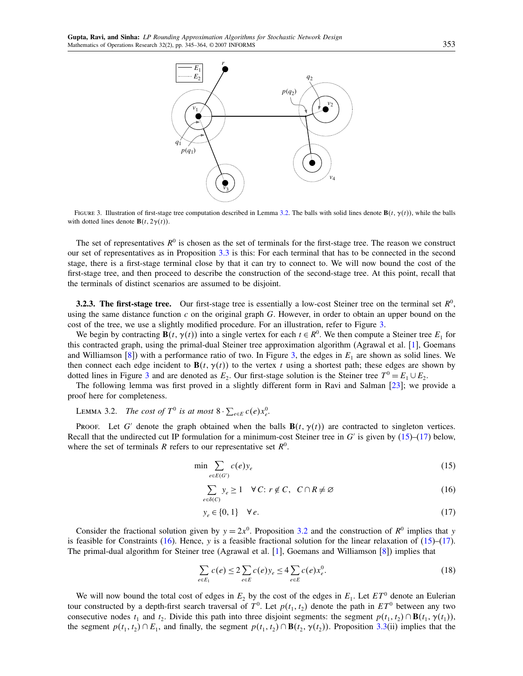<span id="page-8-0"></span>

FIGURE 3. Illustration of first-stage tree computation described in Lemma 3.2. The balls with solid lines denote  $\mathbf{B}(t, \gamma(t))$ , while the balls with dotted lines denote  $\mathbf{B}(t, 2\gamma(t)).$ 

The set of representatives  $R^0$  is chosen as the set of terminals for the first-stage tree. The reason we construct our set of representatives as in Proposition [3.3](#page-7-0) is this: For each terminal that has to be connected in the second stage, there is a first-stage terminal close by that it can try to connect to. We will now bound the cost of the first-stage tree, and then proceed to describe the construction of the second-stage tree. At this point, recall that the terminals of distinct scenarios are assumed to be disjoint.

**3.2.3. The first-stage tree.** Our first-stage tree is essentially a low-cost Steiner tree on the terminal set  $R^0$ , using the same distance function  $c$  on the original graph  $G$ . However, in order to obtain an upper bound on the cost of the tree, we use a slightly modified procedure. For an illustration, refer to Figure 3.

We begin by contracting  $\mathbf{B}(t, \gamma(t))$  into a single vertex for each  $t \in \mathbb{R}^0$ . We then compute a Steiner tree  $E_1$  for this contracted graph, using the primal-dual Steiner tree approximation algorithm (Agrawal et al. [\[1\]](#page-18-0), Goemans and Williamson [\[8\]](#page-18-0)) with a performance ratio of two. In Figure 3, the edges in  $E<sub>1</sub>$  are shown as solid lines. We then connect each edge incident to  $\mathbf{B}(t, \gamma(t))$  to the vertex t using a shortest path; these edges are shown by dotted lines in Figure 3 and are denoted as  $E_2$ . Our first-stage solution is the Steiner tree  $T^0 = E_1 \cup E_2$ .

The following lemma was first proved in a slightly different form in Ravi and Salman [\[23\]](#page-19-0); we provide a proof here for completeness.

## LEMMA 3.2. The cost of  $T^0$  is at most  $8 \cdot \sum_{e \in E} c(e) x_e^0$ .

Proof. Let G' denote the graph obtained when the balls  $\mathbf{B}(t, \gamma(t))$  are contracted to singleton vertices. Recall that the undirected cut IP formulation for a minimum-cost Steiner tree in  $G'$  is given by (15)–(17) below, where the set of terminals R refers to our representative set  $R^0$ .

$$
\min \sum_{e \in E(G')} c(e) y_e \tag{15}
$$

$$
\sum_{e \in \delta(C)} y_e \ge 1 \quad \forall C: r \notin C, \ C \cap R \ne \varnothing \tag{16}
$$

$$
y_e \in \{0, 1\} \quad \forall e. \tag{17}
$$

Consider the fractional solution given by  $y = 2x^0$ . Proposition [3.2](#page-7-0) and the construction of  $R^0$  implies that y is feasible for Constraints (16). Hence, y is a feasible fractional solution for the linear relaxation of (15)–(17). The primal-dual algorithm for Steiner tree (Agrawal et al. [\[1\]](#page-18-0), Goemans and Williamson [\[8\]](#page-18-0)) implies that

$$
\sum_{e \in E_1} c(e) \le 2 \sum_{e \in E} c(e) y_e \le 4 \sum_{e \in E} c(e) x_e^0.
$$
\n(18)

We will now bound the total cost of edges in  $E_2$  by the cost of the edges in  $E_1$ . Let  $ET^0$  denote an Eulerian tour constructed by a depth-first search traversal of  $T^0$ . Let  $p(t_1, t_2)$  denote the path in  $ET^0$  between any two consecutive nodes  $t_1$  and  $t_2$ . Divide this path into three disjoint segments: the segment  $p(t_1, t_2) \cap \mathbf{B}(t_1, \gamma(t_1)),$ the segment  $p(t_1, t_2) \cap E_1$ , and finally, the segment  $p(t_1, t_2) \cap \mathbf{B}(t_2, \gamma(t_2))$ . Proposition [3.3\(](#page-7-0)ii) implies that the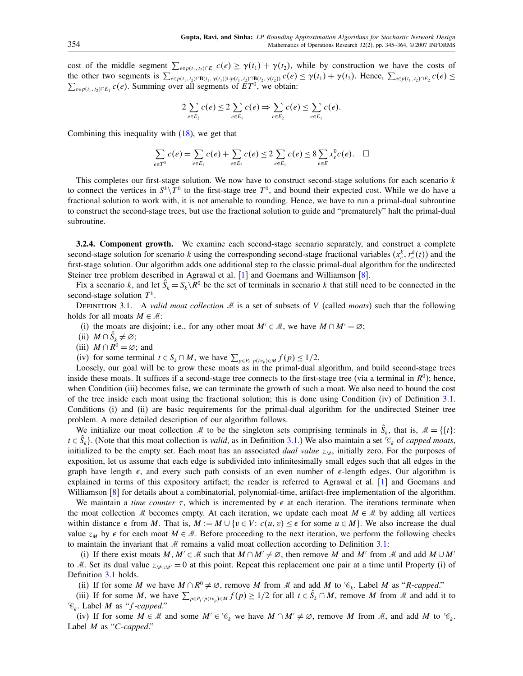<span id="page-9-0"></span>cost of the middle segment  $\sum_{e \in p(t_1, t_2) \cap E_1} c(e) \ge \gamma(t_1) + \gamma(t_2)$ , while by construction we have the costs of the other two segments is  $\sum_{e \in p(t_1, t_2) \cap B(t_1, \gamma(t_1)) \cup p(t_1, t_2) \cap B(t_2, \gamma(t_2))} c(e) \leq \gamma(t_1) + \gamma(t_2)$ . Hence,  $\sum_{e \in p(t_1, t_2) \cap E_2} c(e) \leq$  $\sum_{e \in p(t_1, t_2) \cap E_1} c(e)$ . Summing over all segments of  $ET^0$ , we obtain:

$$
2\sum_{e\in E_2}c(e)\leq 2\sum_{e\in E_1}c(e)\Rightarrow \sum_{e\in E_2}c(e)\leq \sum_{e\in E_1}c(e).
$$

Combining this inequality with  $(18)$ , we get that

$$
\sum_{e \in \mathcal{I}^0} c(e) = \sum_{e \in E_1} c(e) + \sum_{e \in E_2} c(e) \le 2 \sum_{e \in E_1} c(e) \le 8 \sum_{e \in E} x_e^0 c(e). \quad \Box
$$

This completes our first-stage solution. We now have to construct second-stage solutions for each scenario k to connect the vertices in  $S^k \setminus T^0$  to the first-stage tree  $T^0$ , and bound their expected cost. While we do have a fractional solution to work with, it is not amenable to rounding. Hence, we have to run a primal-dual subroutine to construct the second-stage trees, but use the fractional solution to guide and "prematurely" halt the primal-dual subroutine.

3.2.4. Component growth. We examine each second-stage scenario separately, and construct a complete second-stage solution for scenario k using the corresponding second-stage fractional variables  $(x_e^k, r_e^k(t))$  and the first-stage solution. Our algorithm adds one additional step to the classic primal-dual algorithm for the undirected Steiner tree problem described in Agrawal et al. [\[1\]](#page-18-0) and Goemans and Williamson [\[8\]](#page-18-0).

Fix a scenario k, and let  $\hat{S}_k = S_k \backslash R^0$  be the set of terminals in scenario k that still need to be connected in the second-stage solution  $T^k$ .

DEFINITION 3.1. A valid moat collection  $M$  is a set of subsets of V (called moats) such that the following holds for all moats  $M \in \mathcal{M}$ :

- (i) the moats are disjoint; i.e., for any other moat  $M' \in \mathcal{M}$ , we have  $M \cap M' = \emptyset$ ;
- (ii)  $M \cap S_k \neq \emptyset$ ;
- (iii)  $M \cap R^0 = \emptyset$ ; and
- (iv) for some terminal  $t \in S_k \cap M$ , we have  $\sum_{p \in P_t: p(tv_p) \in M} f(p) \leq 1/2$ .

Loosely, our goal will be to grow these moats as in the primal-dual algorithm, and build second-stage trees inside these moats. It suffices if a second-stage tree connects to the first-stage tree (via a terminal in  $R^0$ ); hence, when Condition (iii) becomes false, we can terminate the growth of such a moat. We also need to bound the cost of the tree inside each moat using the fractional solution; this is done using Condition (iv) of Definition 3.1. Conditions (i) and (ii) are basic requirements for the primal-dual algorithm for the undirected Steiner tree problem. A more detailed description of our algorithm follows.

We initialize our moat collection M to be the singleton sets comprising terminals in  $S_k$ , that is,  $M = \{\{t\}$ :  $t \in S_k$ . (Note that this moat collection is *valid*, as in Definition 3.1.) We also maintain a set  $\mathcal{C}_k$  of *capped moats*, initialized to be the empty set. Each moat has an associated *dual value*  $z_M$ , initially zero. For the purposes of exposition, let us assume that each edge is subdivided into infinitesimally small edges such that all edges in the graph have length  $\epsilon$ , and every such path consists of an even number of  $\epsilon$ -length edges. Our algorithm is explained in terms of this expository artifact; the reader is referred to Agrawal et al. [\[1\]](#page-18-0) and Goemans and Williamson [\[8\]](#page-18-0) for details about a combinatorial, polynomial-time, artifact-free implementation of the algorithm.

We maintain a *time counter*  $\tau$ , which is incremented by  $\epsilon$  at each iteration. The iterations terminate when the moat collection M becomes empty. At each iteration, we update each moat  $M \in \mathcal{M}$  by adding all vertices within distance  $\epsilon$  from M. That is,  $M := M \cup \{v \in V : c(u, v) \le \epsilon \}$  for some  $u \in M\}$ . We also increase the dual value  $z_M$  by  $\epsilon$  for each moat  $M \in \mathcal{M}$ . Before proceeding to the next iteration, we perform the following checks to maintain the invariant that  $M$  remains a valid moat collection according to Definition 3.1:

(i) If there exist moats  $M, M \in \mathcal{M}$  such that  $M \cap M' \neq \emptyset$ , then remove M and M' from  $\mathcal{M}$  and add  $M \cup M'$ to M. Set its dual value  $z_{M\cup M'} = 0$  at this point. Repeat this replacement one pair at a time until Property (i) of Definition 3.1 holds.

(ii) If for some M we have  $M \cap R^0 \neq \emptyset$ , remove M from M and add M to  $\mathcal{C}_k$ . Label M as "R-capped."

(iii) If for some M, we have  $\sum_{p \in P_t : p(tv_p) \in M} f(p) \ge 1/2$  for all  $t \in S_k \cap M$ , remove M from M and add it to  $\mathcal{C}_k$ . Label *M* as "*f*-capped."

(iv) If for some  $M \in \mathcal{M}$  and some  $M' \in \mathcal{C}_k$  we have  $M \cap M' \neq \emptyset$ , remove M from  $\mathcal{M}$ , and add M to  $\mathcal{C}_k$ . Label  $M$  as "C-capped."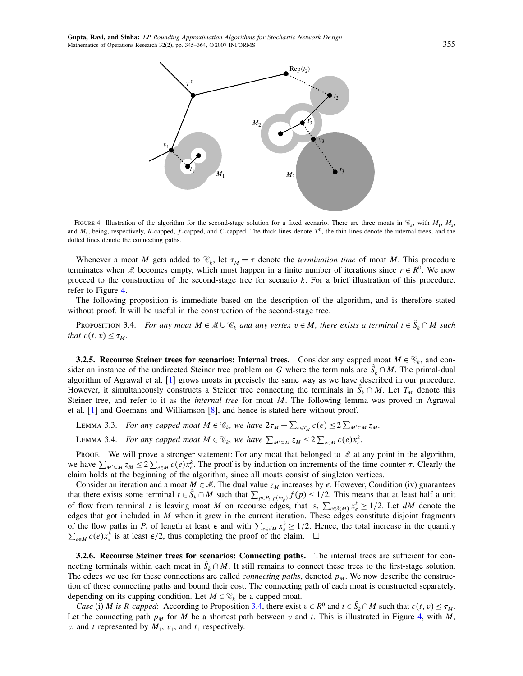<span id="page-10-0"></span>

FIGURE 4. Illustration of the algorithm for the second-stage solution for a fixed scenario. There are three moats in  $\mathcal{C}_k$ , with  $M_1, M_2,$ and  $M_3$ , being, respectively, R-capped, f-capped, and C-capped. The thick lines denote  $T<sup>0</sup>$ , the thin lines denote the internal trees, and the dotted lines denote the connecting paths.

Whenever a moat M gets added to  $\mathcal{C}_k$ , let  $\tau_M = \tau$  denote the *termination time* of moat M. This procedure terminates when M becomes empty, which must happen in a finite number of iterations since  $r \in R^0$ . We now proceed to the construction of the second-stage tree for scenario  $k$ . For a brief illustration of this procedure, refer to Figure 4.

The following proposition is immediate based on the description of the algorithm, and is therefore stated without proof. It will be useful in the construction of the second-stage tree.

PROPOSITION 3.4. For any moat  $M \in \mathcal{M} \cup \mathcal{C}_k$  and any vertex  $v \in M$ , there exists a terminal  $t \in \hat{S}_k \cap M$  such that  $c(t, v) \leq \tau_M$ .

**3.2.5. Recourse Steiner trees for scenarios: Internal trees.** Consider any capped moat  $M \in \mathcal{C}_k$ , and consider an instance of the undirected Steiner tree problem on G where the terminals are  $S_k \cap M$ . The primal-dual algorithm of Agrawal et al. [\[1\]](#page-18-0) grows moats in precisely the same way as we have described in our procedure. However, it simultaneously constructs a Steiner tree connecting the terminals in  $S_k \cap M$ . Let  $T_M$  denote this Steiner tree, and refer to it as the *internal tree* for moat  $M$ . The following lemma was proved in Agrawal et al. [\[1\]](#page-18-0) and Goemans and Williamson [\[8\]](#page-18-0), and hence is stated here without proof.

LEMMA 3.3. For any capped moat  $M \in \mathcal{C}_k$ , we have  $2\tau_M + \sum_{e \in T_M} c(e) \leq 2\sum_{M' \subseteq M} z_M$ .

LEMMA 3.4. For any capped moat  $M \in \mathcal{C}_k$ , we have  $\sum_{M' \subseteq M} z_M \leq 2 \sum_{e \in M} c(e) x_e^k$ .

PROOF. We will prove a stronger statement: For any moat that belonged to  $\mathcal M$  at any point in the algorithm, we have  $\sum_{M'\subseteq M} z_M \le 2 \sum_{e \in M} c(e) x_e^k$ . The proof is by induction on increments of the time counter  $\tau$ . Clearly the claim holds at the beginning of the algorithm, since all moats consist of singleton vertices.

Consider an iteration and a moat  $M \in \mathcal{M}$ . The dual value  $z_M$  increases by  $\epsilon$ . However, Condition (iv) guarantees that there exists some terminal  $t \in S_k \cap M$  such that  $\sum_{p \in P_t : p(tv_p)} f(p) \le 1/2$ . This means that at least half a unit of flow from terminal t is leaving moat M on recourse edges, that is,  $\sum_{e \in \delta(M)} x_e^k \ge 1/2$ . Let dM denote the edges that got included in  $M$  when it grew in the current iteration. These edges constitute disjoint fragments of the flow paths in  $P_t$  of length at least  $\epsilon$  and with  $\sum_{e \in dM} x_e^k \ge 1/2$ . Hence, the total increase in the quantity  $\sum_{e \in M} c(e) x_e^{\overline{k}}$  is at least  $\epsilon/2$ , thus completing the proof of the claim.  $\Box$ 

3.2.6. Recourse Steiner trees for scenarios: Connecting paths. The internal trees are sufficient for connecting terminals within each moat in  $S_k \cap M$ . It still remains to connect these trees to the first-stage solution. The edges we use for these connections are called *connecting paths*, denoted  $p<sub>M</sub>$ . We now describe the construction of these connecting paths and bound their cost. The connecting path of each moat is constructed separately, depending on its capping condition. Let  $M \in \mathcal{C}_k$  be a capped moat.

Case (i) M is R-capped: According to Proposition 3.4, there exist  $v \in R^0$  and  $t \in \hat{S}_k \cap M$  such that  $c(t, v) \le \tau_M$ . Let the connecting path  $p_M$  for M be a shortest path between v and t. This is illustrated in Figure 4, with M, v, and t represented by  $M_1$ ,  $v_1$ , and  $t_1$  respectively.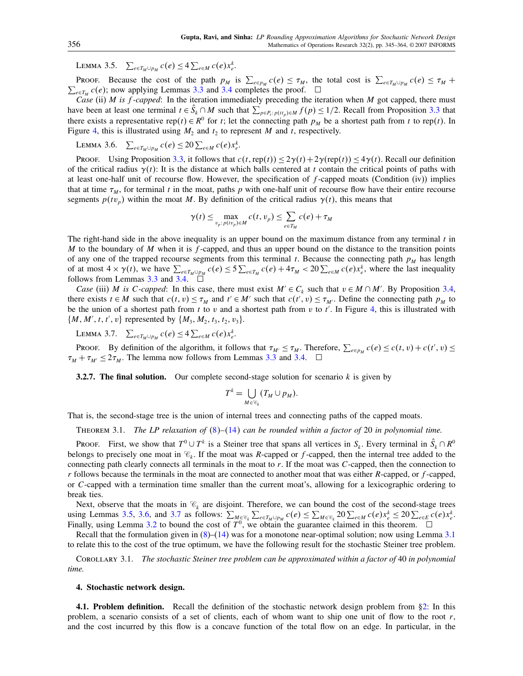<span id="page-11-0"></span>LEMMA 3.5.  $\sum_{e \in T_M \cup p_M} c(e) \leq 4 \sum_{e \in M} c(e) x_e^k$ .

Proof. Because the cost of the path  $p_M$  is  $\sum_{e \in p_M} c(e) \leq \tau_M$ , the total cost is  $\sum_{e \in T_M \cup p_M} c(e) \leq \tau_M +$  $\sum_{e \in T_M} c(e)$ ; now applying Lemmas [3.3](#page-10-0) and [3.4](#page-10-0) completes the proof.  $\Box$ 

Case (ii) M is f-capped: In the iteration immediately preceding the iteration when M got capped, there must have been at least one terminal  $t \in S_k \cap M$  such that  $\sum_{p \in P_t : p(t_t_p) \in M} f(p) \le 1/2$ . Recall from Proposition [3.3](#page-7-0) that there exists a representative rep $(t) \in R^0$  for t; let the connecting path  $p_M$  be a shortest path from t to rep $(t)$ . In Figure [4,](#page-10-0) this is illustrated using  $M_2$  and  $t_2$  to represent M and t, respectively.

LEMMA 3.6.  $\sum_{e \in T_M \cup p_M} c(e) \le 20 \sum_{e \in M} c(e) x_e^k$ .

PROOF. Using Proposition [3.3,](#page-7-0) it follows that  $c(t, rep(t)) \leq 2\gamma(t)+2\gamma (rep(t)) \leq 4\gamma(t)$ . Recall our definition of the critical radius  $\gamma(t)$ : It is the distance at which balls centered at t contain the critical points of paths with at least one-half unit of recourse flow. However, the specification of f-capped moats (Condition (iv)) implies that at time  $\tau_M$ , for terminal t in the moat, paths p with one-half unit of recourse flow have their entire recourse segments  $p(tv_p)$  within the moat M. By definition of the critical radius  $\gamma(t)$ , this means that

$$
\gamma(t) \leq \max_{v_p: p(tv_p) \in M} c(t, v_p) \leq \sum_{e \in T_M} c(e) + \tau_M
$$

The right-hand side in the above inequality is an upper bound on the maximum distance from any terminal  $t$  in  $M$  to the boundary of  $M$  when it is  $f$ -capped, and thus an upper bound on the distance to the transition points of any one of the trapped recourse segments from this terminal  $t$ . Because the connecting path  $p<sub>M</sub>$  has length of at most  $4 \times \gamma(t)$ , we have  $\sum_{e \in T_M \cup p_M} c(e) \le 5 \sum_{e \in T_M} c(e) + 4\tau_M < 20 \sum_{e \in M} c(e) x_e^k$ , where the last inequality follows from Lemmas [3.3](#page-10-0) and [3.4.](#page-10-0)  $\Box$ 

Case (iii) M is C-capped: In this case, there must exist  $M' \in C_k$  such that  $v \in M \cap M'$ . By Proposition [3.4,](#page-10-0) there exists  $t \in M$  such that  $c(t, v) \leq \tau_M$  and  $t' \in M'$  such that  $c(t', v) \leq \tau_{M'}$ . Define the connecting path  $p_M$  to be the union of a shortest path from t to v and a shortest path from v to t'. In Figure [4,](#page-10-0) this is illustrated with  $\{M, M', t, t', v\}$  represented by  $\{M_3, M_2, t_3, t_2, v_3\}.$ 

LEMMA 3.7.  $\sum_{e \in T_M \cup p_M} c(e) \leq 4 \sum_{e \in M} c(e) x_e^k$ .

PROOF. By definition of the algorithm, it follows that  $\tau_{M'} \leq \tau_M$ . Therefore,  $\sum_{e \in p_M} c(e) \leq c(t, v) + c(t', v) \leq c(t, v) + c(t', v)$  $\tau_M + \tau_{M'} \leq 2\tau_M$ . The lemma now follows from Lemmas [3.3](#page-10-0) and [3.4.](#page-10-0)  $\Box$ 

**3.2.7. The final solution.** Our complete second-stage solution for scenario  $k$  is given by

$$
T^k = \bigcup_{M \in \mathcal{C}_k} (T_M \cup p_M).
$$

That is, the second-stage tree is the union of internal trees and connecting paths of the capped moats.

THEOREM 3.1. The LP relaxation of  $(8)-(14)$  $(8)-(14)$  $(8)-(14)$  can be rounded within a factor of 20 in polynomial time.

Proof. First, we show that  $T^0 \cup T^k$  is a Steiner tree that spans all vertices in  $S_k$ . Every terminal in  $\hat{S}_k \cap R^0$ belongs to precisely one moat in  $\mathcal{C}_k$ . If the moat was R-capped or f-capped, then the internal tree added to the connecting path clearly connects all terminals in the moat to r. If the moat was C-capped, then the connection to r follows because the terminals in the moat are connected to another moat that was either R-capped, or f -capped, or C-capped with a termination time smaller than the current moat's, allowing for a lexicographic ordering to break ties.

Next, observe that the moats in  $\mathcal{C}_k$  are disjoint. Therefore, we can bound the cost of the second-stage trees using Lemmas [3.5,](#page-10-0) 3.6, and 3.7 as follows:  $\sum_{M \in \mathcal{C}_k} \sum_{e \in T_M \cup p_M} c(e) \le \sum_{M \in \mathcal{C}_k} 20 \sum_{e \in M} c(e) x_e^k \le 20 \sum_{e \in E} c(e) x_e^k$ . Finally, using Lemma [3.2](#page-8-0) to bound the cost of  $T^0$ , we obtain the guarantee claimed in this theorem.  $\Box$ 

Recall that the formulation given in  $(8)$ – $(14)$  was for a monotone near-optimal solution; now using Lemma [3.1](#page-4-0) to relate this to the cost of the true optimum, we have the following result for the stochastic Steiner tree problem.

Corollary 3.1. The stochastic Steiner tree problem can be approximated within a factor of 40 in polynomial time.

#### 4. Stochastic network design.

4.1. Problem definition. Recall the definition of the stochastic network design problem from [§2:](#page-1-0) In this problem, a scenario consists of a set of clients, each of whom want to ship one unit of flow to the root r, and the cost incurred by this flow is a concave function of the total flow on an edge. In particular, in the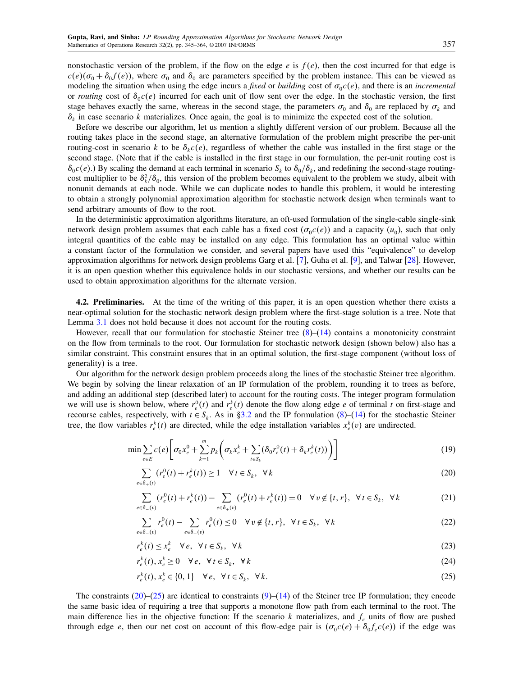<span id="page-12-0"></span>nonstochastic version of the problem, if the flow on the edge e is  $f(e)$ , then the cost incurred for that edge is  $c(e)(\sigma_0 + \delta_0 f(e))$ , where  $\sigma_0$  and  $\delta_0$  are parameters specified by the problem instance. This can be viewed as modeling the situation when using the edge incurs a fixed or building cost of  $\sigma_0c(e)$ , and there is an incremental or routing cost of  $\delta_0 c(e)$  incurred for each unit of flow sent over the edge. In the stochastic version, the first stage behaves exactly the same, whereas in the second stage, the parameters  $\sigma_0$  and  $\delta_0$  are replaced by  $\sigma_k$  and  $\delta_k$  in case scenario k materializes. Once again, the goal is to minimize the expected cost of the solution.

Before we describe our algorithm, let us mention a slightly different version of our problem. Because all the routing takes place in the second stage, an alternative formulation of the problem might prescribe the per-unit routing-cost in scenario k to be  $\delta_k c(e)$ , regardless of whether the cable was installed in the first stage or the second stage. (Note that if the cable is installed in the first stage in our formulation, the per-unit routing cost is  $\delta_0c(e)$ .) By scaling the demand at each terminal in scenario  $S_k$  to  $\delta_0/\delta_k$ , and redefining the second-stage routingcost multiplier to be  $\delta_k^2/\delta_0$ , this version of the problem becomes equivalent to the problem we study, albeit with nonunit demands at each node. While we can duplicate nodes to handle this problem, it would be interesting to obtain a strongly polynomial approximation algorithm for stochastic network design when terminals want to send arbitrary amounts of flow to the root.

In the deterministic approximation algorithms literature, an oft-used formulation of the single-cable single-sink network design problem assumes that each cable has a fixed cost  $(\sigma_0 c(e))$  and a capacity  $(u_0)$ , such that only integral quantities of the cable may be installed on any edge. This formulation has an optimal value within a constant factor of the formulation we consider, and several papers have used this "equivalence" to develop approximation algorithms for network design problems Garg et al. [\[7\]](#page-18-0), Guha et al. [\[9\]](#page-18-0), and Talwar [\[28\]](#page-19-0). However, it is an open question whether this equivalence holds in our stochastic versions, and whether our results can be used to obtain approximation algorithms for the alternate version.

4.2. Preliminaries. At the time of the writing of this paper, it is an open question whether there exists a near-optimal solution for the stochastic network design problem where the first-stage solution is a tree. Note that Lemma [3.1](#page-4-0) does not hold because it does not account for the routing costs.

However, recall that our formulation for stochastic Steiner tree  $(8)$ – $(14)$  contains a monotonicity constraint on the flow from terminals to the root. Our formulation for stochastic network design (shown below) also has a similar constraint. This constraint ensures that in an optimal solution, the first-stage component (without loss of generality) is a tree.

Our algorithm for the network design problem proceeds along the lines of the stochastic Steiner tree algorithm. We begin by solving the linear relaxation of an IP formulation of the problem, rounding it to trees as before, and adding an additional step (described later) to account for the routing costs. The integer program formulation we will use is shown below, where  $r_e^0(t)$  and  $r_e^k(t)$  denote the flow along edge e of terminal t on first-stage and recourse cables, respectively, with  $t \in S_k$ . As in [§3.2](#page-5-0) and the IP formulation [\(8\)](#page-6-0)–[\(14\)](#page-6-0) for the stochastic Steiner tree, the flow variables  $r_e^k(t)$  are directed, while the edge installation variables  $x_e^k(v)$  are undirected.

$$
\min \sum_{e \in E} c(e) \bigg[ \sigma_0 x_e^0 + \sum_{k=1}^m p_k \bigg( \sigma_k x_e^k + \sum_{t \in S_k} (\delta_0 r_e^0(t) + \delta_k r_e^k(t)) \bigg) \bigg] \tag{19}
$$

$$
\sum_{e \in \delta_+(t)} (r_e^0(t) + r_e^k(t)) \ge 1 \quad \forall \, t \in S_k, \ \forall \, k \tag{20}
$$

$$
\sum_{e \in \delta_{-}(v)} (r_e^0(t) + r_e^k(t)) - \sum_{e \in \delta_{+}(v)} (r_e^0(t) + r_e^k(t)) = 0 \quad \forall v \notin \{t, r\}, \ \forall t \in S_k, \ \forall k
$$
 (21)

$$
\sum_{e \in \delta_{-}(v)} r_e^0(t) - \sum_{e \in \delta_{+}(v)} r_e^0(t) \le 0 \quad \forall v \notin \{t, r\}, \quad \forall t \in S_k, \quad \forall k
$$
\n(22)

$$
r_e^k(t) \le x_e^k \quad \forall \, e, \ \forall \, t \in S_k, \ \forall \, k \tag{23}
$$

$$
r_e^k(t), x_e^k \ge 0 \quad \forall e, \ \forall t \in S_k, \ \forall k
$$
\n
$$
(24)
$$

$$
r_e^k(t), x_e^k \in \{0, 1\} \quad \forall e, \quad \forall t \in S_k, \quad \forall k. \tag{25}
$$

The constraints  $(20)$ – $(25)$  are identical to constraints  $(9)$ – $(14)$  of the Steiner tree IP formulation; they encode the same basic idea of requiring a tree that supports a monotone flow path from each terminal to the root. The main difference lies in the objective function: If the scenario k materializes, and  $f_e$  units of flow are pushed through edge e, then our net cost on account of this flow-edge pair is  $(\sigma_0 c(e) + \delta_0 f_e c(e))$  if the edge was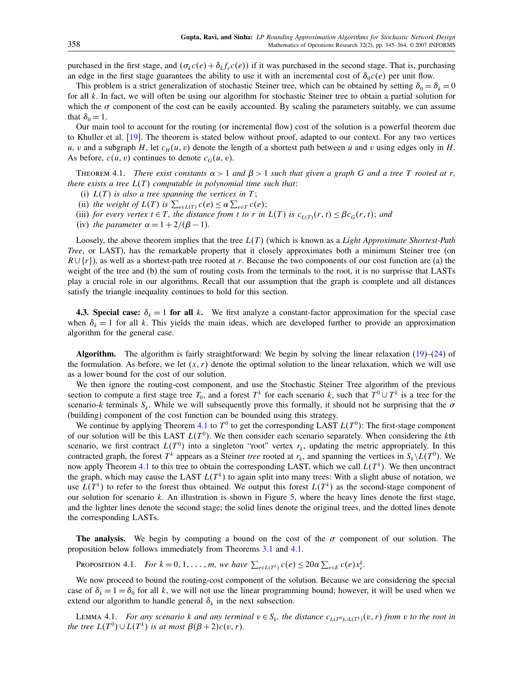<span id="page-13-0"></span>purchased in the first stage, and  $(\sigma_k c(e) + \delta_k f_e c(e))$  if it was purchased in the second stage. That is, purchasing an edge in the first stage guarantees the ability to use it with an incremental cost of  $\delta_0 c(e)$  per unit flow.

This problem is a strict generalization of stochastic Steiner tree, which can be obtained by setting  $\delta_0 = \delta_k = 0$ for all k. In fact, we will often be using our algorithm for stochastic Steiner tree to obtain a partial solution for which the  $\sigma$  component of the cost can be easily accounted. By scaling the parameters suitably, we can assume that  $\delta_0 = 1$ .

Our main tool to account for the routing (or incremental flow) cost of the solution is a powerful theorem due to Khuller et al. [\[19\]](#page-19-0). The theorem is stated below without proof, adapted to our context. For any two vertices u, v and a subgraph H, let  $c_H(u, v)$  denote the length of a shortest path between u and v using edges only in H. As before,  $c(u, v)$  continues to denote  $c_G(u, v)$ .

THEOREM 4.1. There exist constants  $\alpha > 1$  and  $\beta > 1$  such that given a graph G and a tree T rooted at r, there exists a tree  $L(T)$  computable in polynomial time such that:

(i)  $L(T)$  is also a tree spanning the vertices in T;

(ii) the weight of  $L(T)$  is  $\sum_{e \in L(T)} c(e) \leq \alpha \sum_{e \in T} c(e);$ 

(iii) for every vertex  $t \in T$ , the distance from t to r in  $L(T)$  is  $c_{L(T)}(r, t) \leq \beta c_G(r, t)$ ; and

(iv) the parameter  $\alpha = 1 + 2/(\beta - 1)$ .

Loosely, the above theorem implies that the tree  $L(T)$  (which is known as a *Light Approximate Shortest-Path* Tree, or LAST), has the remarkable property that it closely approximates both a minimum Steiner tree (on  $R\cup\{r\}$ , as well as a shortest-path tree rooted at r. Because the two components of our cost function are (a) the weight of the tree and (b) the sum of routing costs from the terminals to the root, it is no surprisse that LASTs play a crucial role in our algorithms. Recall that our assumption that the graph is complete and all distances satisfy the triangle inequality continues to hold for this section.

4.3. Special case:  $\delta_k = 1$  for all k. We first analyze a constant-factor approximation for the special case when  $\delta_k = 1$  for all k. This yields the main ideas, which are developed further to provide an approximation algorithm for the general case.

**Algorithm.** The algorithm is fairly straightforward: We begin by solving the linear relaxation  $(19)$ – $(24)$  of the formulation. As before, we let  $(x, r)$  denote the optimal solution to the linear relaxation, which we will use as a lower bound for the cost of our solution.

We then ignore the routing-cost component, and use the Stochastic Steiner Tree algorithm of the previous section to compute a first stage tree  $T_0$ , and a forest  $T^k$  for each scenario k, such that  $T^0 \cup T^k$  is a tree for the scenario-k terminals  $S_k$ . While we will subsequently prove this formally, it should not be surprising that the  $\sigma$ (building) component of the cost function can be bounded using this strategy.

We continue by applying Theorem 4.1 to  $T^0$  to get the corresponding LAST  $L(T^0)$ : The first-stage component of our solution will be this LAST  $L(T^0)$ . We then consider each scenario separately. When considering the kth scenario, we first contract  $L(T^0)$  into a singleton "root" vertex  $r_k$ , updating the metric appropriately. In this contracted graph, the forest T<sup>k</sup> appears as a Steiner tree rooted at  $r_k$ , and spanning the vertices in  $S_k\backslash L(T^0)$ . We now apply Theorem 4.1 to this tree to obtain the corresponding LAST, which we call  $L(T^k)$ . We then uncontract the graph, which may cause the LAST  $L(T^k)$  to again split into many trees: With a slight abuse of notation, we use  $L(T^k)$  to refer to the forest thus obtained. We output this forest  $L(T^k)$  as the second-stage component of our solution for scenario k. An illustration is shown in Figure [5,](#page-14-0) where the heavy lines denote the first stage, and the lighter lines denote the second stage; the solid lines denote the original trees, and the dotted lines denote the corresponding LASTs.

The analysis. We begin by computing a bound on the cost of the  $\sigma$  component of our solution. The proposition below follows immediately from Theorems [3.1](#page-11-0) and 4.1.

PROPOSITION 4.1. For  $k = 0, 1, ..., m$ , we have  $\sum_{e \in L(T^k)} c(e) \le 20\alpha \sum_{e \in E} c(e) x_e^k$ .

We now proceed to bound the routing-cost component of the solution. Because we are considering the special case of  $\delta_k = 1 = \delta_0$  for all k, we will not use the linear programming bound; however, it will be used when we extend our algorithm to handle general  $\delta_k$  in the next subsection.

LEMMA 4.1. For any scenario k and any terminal  $v \in S_k$ , the distance  $c_{L(T^0) \cup L(T^k)}(v, r)$  from v to the root in the tree  $L(T^0) \cup L(T^k)$  is at most  $\beta(\beta+2)c(v, r)$ .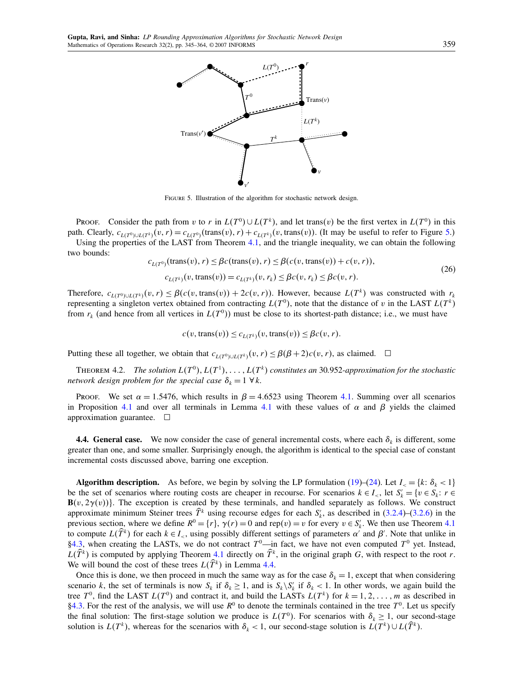<span id="page-14-0"></span>

FIGURE 5. Illustration of the algorithm for stochastic network design.

PROOF. Consider the path from v to r in  $L(T^0) \cup L(T^k)$ , and let trans(v) be the first vertex in  $L(T^0)$  in this path. Clearly,  $c_{L(T^0) \cup L(T^k)}(v, r) = c_{L(T^0)}(\text{trans}(v), r) + c_{L(T^k)}(v, \text{trans}(v))$ . (It may be useful to refer to Figure 5.)

Using the properties of the LAST from Theorem [4.1,](#page-13-0) and the triangle inequality, we can obtain the following two bounds:<br>  $c_{L(T^0)}(\text{trans}(v), r) \leq \beta c(\text{trans}(v), r) \leq \beta(c(v, \text{trans}(v)) + c(v, r)),$ 

$$
c_{L(T^0)}(\text{trans}(v), r) \le \beta c(\text{trans}(v), r) \le \beta (c(v, \text{trans}(v)) + c(v, r)),
$$
  
\n
$$
c_{L(T^k)}(v, \text{trans}(v)) = c_{L(T^k)}(v, r_k) \le \beta c(v, r_k) \le \beta c(v, r).
$$
\n(26)

Therefore,  $c_{L(T^0) \cup L(T^k)}(v, r) \leq \beta(c(v, trans(v)) + 2c(v, r))$ . However, because  $L(T^k)$  was constructed with  $r_k$ representing a singleton vertex obtained from contracting  $L(T^0)$ , note that the distance of v in the LAST  $L(T^k)$ from  $r_k$  (and hence from all vertices in  $L(T^0)$ ) must be close to its shortest-path distance; i.e., we must have

$$
c(v, trans(v)) \leq c_{L(T^k)}(v, trans(v)) \leq \beta c(v, r).
$$

Putting these all together, we obtain that  $c_{L(T^0) \cup L(T^k)}(v, r) \leq \beta(\beta + 2)c(v, r)$ , as claimed.  $\Box$ 

THEOREM 4.2. The solution  $L(T^0), L(T^1), \ldots, L(T^k)$  constitutes an 30.952-approximation for the stochastic network design problem for the special case  $\delta_k = 1 \ \forall k$ .

Proof. We set  $\alpha = 1.5476$ , which results in  $\beta = 4.6523$  using Theorem [4.1.](#page-13-0) Summing over all scenarios in Proposition [4.1](#page-13-0) and over all terminals in Lemma 4.1 with these values of  $\alpha$  and  $\beta$  yields the claimed approximation guarantee.  $\square$ 

**4.4. General case.** We now consider the case of general incremental costs, where each  $\delta_k$  is different, some greater than one, and some smaller. Surprisingly enough, the algorithm is identical to the special case of constant incremental costs discussed above, barring one exception.

**Algorithm description.** As before, we begin by solving the LP formulation [\(19\)](#page-12-0)–[\(24\)](#page-12-0). Let  $I_{\leq} = \{k : \delta_k < 1\}$ be the set of scenarios where routing costs are cheaper in recourse. For scenarios  $k \in I_{\leq}$ , let  $S'_k = \{v \in S_k : r \in I_{\leq} \}$  $B(v, 2\gamma(v))$ . The exception is created by these terminals, and handled separately as follows. We construct approximate minimum Steiner trees  $\hat{T}^k$  using recourse edges for each  $S'_k$ , as described in [\(3.2.4\)](#page-9-0)–[\(3.2.6\)](#page-10-0) in the previous section, where we define  $R^0 = \{r\}$ ,  $\gamma(r) = 0$  and rep $(v) = v$  for every  $v \in S'_k$ . We then use Theorem [4.1](#page-13-0) to compute  $L(\hat{T}^k)$  for each  $k \in I_<$ , using possibly different settings of parameters  $\alpha'$  and  $\beta'$ . Note that unlike in [§4.3,](#page-13-0) when creating the LASTs, we do not contract  $T^0$ —in fact, we have not even computed  $T^0$  yet. Instead,  $L(\widehat{T}^k)$  is computed by applying Theorem [4.1](#page-13-0) directly on  $\widehat{T}^k$ , in the original graph G, with respect to the root r. We will bound the cost of these trees  $L(\hat{T}^k)$  in Lemma [4.4.](#page-16-0)

Once this is done, we then proceed in much the same way as for the case  $\delta_k = 1$ , except that when considering scenario k, the set of terminals is now  $S_k$  if  $\delta_k \ge 1$ , and is  $S_k \setminus S'_k$  if  $\delta_k < 1$ . In other words, we again build the tree  $T^0$ , find the LAST  $L(T^0)$  and contract it, and build the LASTs  $L(T^k)$  for  $k = 1, 2, ..., m$  as described in [§4.3.](#page-13-0) For the rest of the analysis, we will use  $R^0$  to denote the terminals contained in the tree  $T^0$ . Let us specify the final solution: The first-stage solution we produce is  $L(T^0)$ . For scenarios with  $\delta_k \ge 1$ , our second-stage solution is  $L(T^k)$ , whereas for the scenarios with  $\delta_k < 1$ , our second-stage solution is  $L(T^k) \cup L(\hat{T}^k)$ .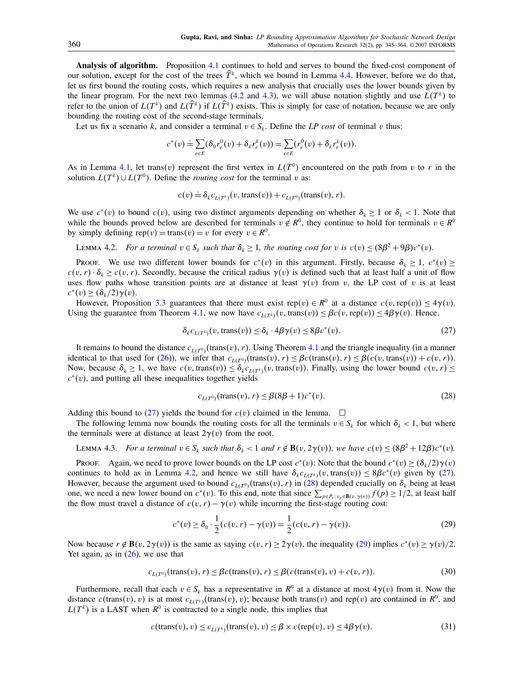<span id="page-15-0"></span>Analysis of algorithm. Proposition [4.1](#page-13-0) continues to hold and serves to bound the fixed-cost component of our solution, except for the cost of the trees  $\hat{T}^k$ , which we bound in Lemma [4.4.](#page-16-0) However, before we do that, let us first bound the routing costs, which requires a new analysis that crucially uses the lower bounds given by the linear program. For the next two lemmas (4.2 and 4.3), we will abuse notation slightly and use  $L(T<sup>k</sup>)$  to refer to the union of  $L(T^k)$  and  $L(\hat{T}^k)$  if  $L(\hat{T}^k)$  exists. This is simply for ease of notation, because we are only bounding the routing cost of the second-stage terminals.

Let us fix a scenario k, and consider a terminal  $v \in S_k$ . Define the LP cost of terminal v thus:

$$
c^*(v) \doteq \sum_{e \in E} (\delta_0 r_e^0(v) + \delta_k r_e^k(v)) = \sum_{e \in E} (r_e^0(v) + \delta_k r_e^k(v)).
$$

As in Lemma [4.1,](#page-13-0) let trans(v) represent the first vertex in  $L(T^0)$  encountered on the path from v to r in the solution  $L(T^k) \cup L(T^0)$ . Define the *routing cost* for the terminal v as:

$$
c(v) \doteq \delta_k c_{L(T^k)}(v, \text{trans}(v)) + c_{L(T^0)}(\text{trans}(v), r).
$$

We use  $c^*(v)$  to bound  $c(v)$ , using two distinct arguments depending on whether  $\delta_k \ge 1$  or  $\delta_k < 1$ . Note that while the bounds proved below are described for terminals  $v \notin R^0$ , they continue to hold for terminals  $v \in R^0$ by simply defining rep(v) = trans(v) = v for every  $v \in R^0$ .

LEMMA 4.2. For a terminal  $v \in S_k$  such that  $\delta_k \ge 1$ , the routing cost for v is  $c(v) \le (8\beta^2 + 9\beta)c^*(v)$ .

Proof. We use two different lower bounds for  $c^*(v)$  in this argument. Firstly, because  $\delta_k \geq 1$ ,  $c^*(v) \geq$  $c(v, r) \cdot \delta_k \geq c(v, r)$ . Secondly, because the critical radius  $\gamma(v)$  is defined such that at least half a unit of flow uses flow paths whose transition points are at distance at least  $\gamma(v)$  from v, the LP cost of v is at least  $c^*(v) \ge (\delta_k/2)\gamma(v).$ 

However, Proposition [3.3](#page-7-0) guarantees that there must exist rep(v)  $\in R^0$  at a distance  $c(v, \text{rep}(v)) \le 4\gamma(v)$ . Using the guarantee from Theorem [4.1,](#page-13-0) we now have  $c_{L(T^k)}(v, trans(v)) \leq \beta c(v, rep(v)) \leq 4\beta \gamma(v)$ . Hence,

$$
\delta_k c_{L(T^k)}(v, \text{trans}(v)) \le \delta_k \cdot 4\beta \gamma(v) \le 8\beta c^*(v). \tag{27}
$$

It remains to bound the distance  $c_{L(T^0)}(\text{trans}(v), r)$ . Using Theorem [4.1](#page-13-0) and the triangle inequality (in a manner identical to that used for [\(26\)](#page-14-0)), we infer that  $c_{L(T^0)}(\text{trans}(v), r) \leq \beta c(\text{trans}(v), r) \leq \beta(c(v, \text{trans}(v)) + c(v, r)).$ Now, because  $\delta_k \geq 1$ , we have  $c(v, \text{trans}(v)) \leq \delta_k c_{L(T^k)}(v, \text{trans}(v))$ . Finally, using the lower bound  $c(v, r) \leq$  $c<sup>*</sup>(v)$ , and putting all these inequalities together yields

$$
c_{L(T^{0})}(\text{trans}(v), r) \leq \beta (8\beta + 1)c^{*}(v). \tag{28}
$$

Adding this bound to (27) yields the bound for  $c(v)$  claimed in the lemma.  $\Box$ 

The following lemma now bounds the routing costs for all the terminals  $v \in S_k$  for which  $\delta_k < 1$ , but where the terminals were at distance at least  $2\gamma(v)$  from the root.

LEMMA 4.3. For a terminal 
$$
v \in S_k
$$
 such that  $\delta_k < 1$  and  $r \notin \mathbf{B}(v, 2\gamma(v))$ , we have  $c(v) \leq (8\beta^2 + 12\beta)c^*(v)$ .

Proof. Again, we need to prove lower bounds on the LP cost  $c^*(v)$ : Note that the bound  $c^*(v) \ge (\delta_k/2)\gamma(v)$ continues to hold as in Lemma 4.2, and hence we still have  $\delta_k c_{L(T^k)}(v, trans(v)) \leq 8\beta c^*(v)$  given by (27). However, because the argument used to bound  $c_{L(T^0)}(\text{trans}(v), r)$  in (28) depended crucially on  $\delta_k$  being at least one, we need a new lower bound on  $c^*(v)$ . To this end, note that since  $\sum_{p \in P_v : v_p \in B(v, \gamma(v))} f(p) \ge 1/2$ , at least half the flow must travel a distance of  $c(v, r) - \gamma(v)$  while incurring the first-stage routing cost:

$$
c^*(v) \ge \delta_0 \cdot \frac{1}{2}(c(v,r) - \gamma(v)) = \frac{1}{2}(c(v,r) - \gamma(v)).
$$
\n(29)

Now because  $r \notin \mathbf{B}(v, 2\gamma(v))$  is the same as saying  $c(v, r) \geq 2\gamma(v)$ , the inequality (29) implies  $c^*(v) \geq \gamma(v)/2$ . Yet again, as in  $(26)$ , we use that

$$
c_{L(T^{0})}(\text{trans}(v), r) \leq \beta c(\text{trans}(v), r) \leq \beta (c(\text{trans}(v), v) + c(v, r)).
$$
\n(30)

Furthermore, recall that each  $v \in S_k$  has a representative in  $R^0$  at a distance at most  $4\gamma(v)$  from it. Now the distance  $c(\text{trans}(v), v)$  is at most  $c_{L(T^k)}(\text{trans}(v), v)$ ; because both trans $(v)$  and rep $(v)$  are contained in  $R^0$ , and  $L(T^k)$  is a LAST when  $R^0$  is contracted to a single node, this implies that

$$
c(\text{trans}(v), v) \le c_{L(T^k)}(\text{trans}(v), v) \le \beta \times c(\text{rep}(v), v) \le 4\beta \gamma(v). \tag{31}
$$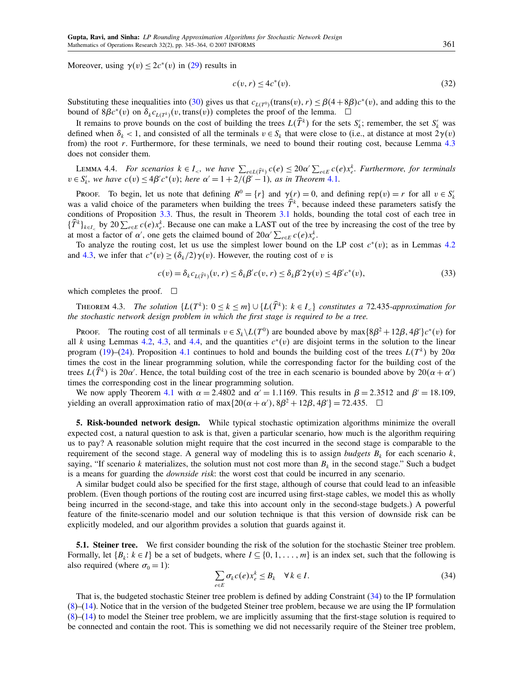<span id="page-16-0"></span>Moreover, using  $\gamma(v) \leq 2c^*(v)$  in [\(29\)](#page-15-0) results in

$$
c(v,r) \le 4c^*(v). \tag{32}
$$

Substituting these inequalities into [\(30\)](#page-15-0) gives us that  $c_{L(T^0)}(\text{trans}(v), r) \leq \beta(4+8\beta)c^*(v)$ , and adding this to the bound of  $8\beta c^*(v)$  on  $\delta_k c_{L(T^k)}(v, \text{trans}(v))$  completes the proof of the lemma.  $\square$ 

It remains to prove bounds on the cost of building the trees  $L(\hat{T}^k)$  for the sets  $S'_k$ ; remember, the set  $S'_k$  was defined when  $\delta_k < 1$ , and consisted of all the terminals  $v \in S_k$  that were close to (i.e., at distance at most  $2\gamma(v)$ ) from) the root  $r$ . Furthermore, for these terminals, we need to bound their routing cost, because Lemma  $4.3$ does not consider them.

LEMMA 4.4. For scenarios  $k \in I_{\leq}$ , we have  $\sum_{e \in L(\hat{T}^k)} c(e) \leq 20\alpha' \sum_{e \in E} c(e) x_e^k$ . Furthermore, for terminals  $v \in S'_k$ , we have  $c(v) \leq 4\beta' c^*(v)$ ; here  $\alpha' = 1 + 2/(\beta' - 1)$ , as in Theorem [4.1.](#page-13-0)

PROOF. To begin, let us note that defining  $R^0 = \{r\}$  and  $\gamma(r) = 0$ , and defining rep $(v) = r$  for all  $v \in S'_k$ was a valid choice of the parameters when building the trees  $\hat{T}^k$ , because indeed these parameters satisfy the conditions of Proposition [3.3.](#page-7-0) Thus, the result in Theorem [3.1](#page-11-0) holds, bounding the total cost of each tree in  $\{\widehat{T}^k\}_{k\in I_{\le}}$  by 20  $\sum_{e\in E} c(e)x_e^k$ . Because one can make a LAST out of the tree by increasing the cost of the tree by at most a factor of  $\alpha'$ , one gets the claimed bound of  $20\alpha' \sum_{e \in E} c(e) x_e^k$ .

To analyze the routing cost, let us use the simplest lower bound on the LP cost  $c^*(v)$ ; as in Lemmas [4.2](#page-15-0) and [4.3,](#page-15-0) we infer that  $c^*(v) \ge (\delta_k/2)\gamma(v)$ . However, the routing cost of v is

$$
c(v) = \delta_k c_{L(\hat{T}^k)}(v, r) \le \delta_k \beta' c(v, r) \le \delta_k \beta' 2\gamma(v) \le 4\beta' c^*(v),
$$
\n(33)

which completes the proof.  $\Box$ 

THEOREM 4.3. The solution  $\{L(T^k): 0 \le k \le m\} \cup \{L(\widehat{T}^k): k \in I_{\le \}}$  constitutes a 72.435-approximation for the stochastic network design problem in which the first stage is required to be a tree.

PROOF. The routing cost of all terminals  $v \in S_k \setminus L(T^0)$  are bounded above by  $max\{8\beta^2 + 12\beta, 4\beta'\}c^*(v)$  for all k using Lemmas [4.2,](#page-15-0) [4.3,](#page-15-0) and 4.4, and the quantities  $c^*(v)$  are disjoint terms in the solution to the linear program [\(19\)](#page-12-0)–[\(24\)](#page-12-0). Proposition [4.1](#page-13-0) continues to hold and bounds the building cost of the trees  $L(T^k)$  by  $20\alpha$ times the cost in the linear programming solution, while the corresponding factor for the building cost of the trees  $L(\hat{T}^k)$  is 20 $\alpha'$ . Hence, the total building cost of the tree in each scenario is bounded above by  $20(\alpha + \alpha')$ times the corresponding cost in the linear programming solution.

We now apply Theorem [4.1](#page-13-0) with  $\alpha = 2.4802$  and  $\alpha' = 1.1169$ . This results in  $\beta = 2.3512$  and  $\beta' = 18.109$ , yielding an overall approximation ratio of max $\{20(\alpha + \alpha'), 8\beta^2 + 12\beta, 4\beta'\} = 72.435.$   $\Box$ 

5. Risk-bounded network design. While typical stochastic optimization algorithms minimize the overall expected cost, a natural question to ask is that, given a particular scenario, how much is the algorithm requiring us to pay? A reasonable solution might require that the cost incurred in the second stage is comparable to the requirement of the second stage. A general way of modeling this is to assign budgets  $B_k$  for each scenario k, saying, "If scenario k materializes, the solution must not cost more than  $B_k$  in the second stage." Such a budget is a means for guarding the *downside risk*: the worst cost that could be incurred in any scenario.

A similar budget could also be specified for the first stage, although of course that could lead to an infeasible problem. (Even though portions of the routing cost are incurred using first-stage cables, we model this as wholly being incurred in the second-stage, and take this into account only in the second-stage budgets.) A powerful feature of the finite-scenario model and our solution technique is that this version of downside risk can be explicitly modeled, and our algorithm provides a solution that guards against it.

5.1. Steiner tree. We first consider bounding the risk of the solution for the stochastic Steiner tree problem. Formally, let  $\{B_k: k \in I\}$  be a set of budgets, where  $I \subseteq \{0, 1, \ldots, m\}$  is an index set, such that the following is also required (where  $\sigma_0 = 1$ ):

$$
\sum_{e \in E} \sigma_k c(e) x_e^k \le B_k \quad \forall \, k \in I.
$$
\n(34)

That is, the budgeted stochastic Steiner tree problem is defined by adding Constraint (34) to the IP formulation [\(8\)](#page-6-0)–[\(14\)](#page-6-0). Notice that in the version of the budgeted Steiner tree problem, because we are using the IP formulation [\(8\)](#page-6-0)–[\(14\)](#page-6-0) to model the Steiner tree problem, we are implicitly assuming that the first-stage solution is required to be connected and contain the root. This is something we did not necessarily require of the Steiner tree problem,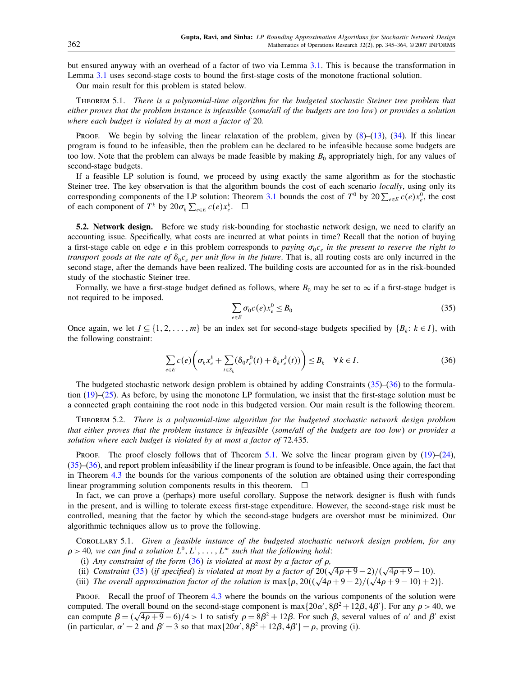but ensured anyway with an overhead of a factor of two via Lemma [3.1.](#page-4-0) This is because the transformation in Lemma [3.1](#page-4-0) uses second-stage costs to bound the first-stage costs of the monotone fractional solution.

Our main result for this problem is stated below.

Theorem 5.1. There is a polynomial-time algorithm for the budgeted stochastic Steiner tree problem that either proves that the problem instance is infeasible (some/all of the budgets are too low) or provides a solution where each budget is violated by at most a factor of 20.

Proof. We begin by solving the linear relaxation of the problem, given by  $(8)$ – $(13)$ ,  $(34)$ . If this linear program is found to be infeasible, then the problem can be declared to be infeasible because some budgets are too low. Note that the problem can always be made feasible by making  $B_0$  appropriately high, for any values of second-stage budgets.

If a feasible LP solution is found, we proceed by using exactly the same algorithm as for the stochastic Steiner tree. The key observation is that the algorithm bounds the cost of each scenario *locally*, using only its corresponding components of the LP solution: Theorem [3.1](#page-11-0) bounds the cost of  $T^0$  by  $20 \sum_{e \in E} c(e) x_e^0$ , the cost of each component of  $T^k$  by  $20\sigma_k \sum_{e \in E} c(e) x_e^k$ .  $\Box$ 

5.2. Network design. Before we study risk-bounding for stochastic network design, we need to clarify an accounting issue. Specifically, what costs are incurred at what points in time? Recall that the notion of buying a first-stage cable on edge e in this problem corresponds to paying  $\sigma_0c_e$  in the present to reserve the right to transport goods at the rate of  $\delta_{0}c_{e}$  per unit flow in the future. That is, all routing costs are only incurred in the second stage, after the demands have been realized. The building costs are accounted for as in the risk-bounded study of the stochastic Steiner tree.

Formally, we have a first-stage budget defined as follows, where  $B_0$  may be set to  $\infty$  if a first-stage budget is not required to be imposed.

$$
\sum_{e \in E} \sigma_0 c(e) x_e^0 \le B_0 \tag{35}
$$

Once again, we let  $I \subseteq \{1, 2, ..., m\}$  be an index set for second-stage budgets specified by  $\{B_k : k \in I\}$ , with the following constraint:

$$
\sum_{e \in E} c(e) \bigg( \sigma_k x_e^k + \sum_{t \in S_k} (\delta_0 r_e^0(t) + \delta_k r_e^k(t)) \bigg) \le B_k \quad \forall k \in I.
$$
\n(36)

The budgeted stochastic network design problem is obtained by adding Constraints  $(35)$ – $(36)$  to the formulation  $(19)$ – $(25)$ . As before, by using the monotone LP formulation, we insist that the first-stage solution must be a connected graph containing the root node in this budgeted version. Our main result is the following theorem.

Theorem 5.2. There is a polynomial-time algorithm for the budgeted stochastic network design problem that either proves that the problem instance is infeasible (some/all of the budgets are too low) or provides a solution where each budget is violated by at most a factor of 72.435.

Proof. The proof closely follows that of Theorem 5.1. We solve the linear program given by  $(19)$ – $(24)$ , (35)–(36), and report problem infeasibility if the linear program is found to be infeasible. Once again, the fact that in Theorem [4.3](#page-16-0) the bounds for the various components of the solution are obtained using their corresponding linear programming solution components results in this theorem.  $\Box$ 

In fact, we can prove a (perhaps) more useful corollary. Suppose the network designer is flush with funds in the present, and is willing to tolerate excess first-stage expenditure. However, the second-stage risk must be controlled, meaning that the factor by which the second-stage budgets are overshot must be minimized. Our algorithmic techniques allow us to prove the following.

Corollary 5.1. Given a feasible instance of the budgeted stochastic network design problem, for any  $\rho > 40$ , we can find a solution  $L^0, L^1, \ldots, L^m$  such that the following hold:

- (i) Any constraint of the form  $(36)$  is violated at most by a factor of  $\rho$ ,
- (ii) Constraint (35) (if specified) is violated at most by a factor of  $20(\sqrt{4p+9}-2)/(\sqrt{4p+9}-10)$ .
- (iii) The overall approximation factor of the solution is  $\max{\{\rho, 20((\sqrt{4\rho+9} 2)/(\sqrt{4\rho+9} 10) + 2)\}}$ .

Proof. Recall the proof of Theorem [4.3](#page-16-0) where the bounds on the various components of the solution were computed. The overall bound on the second-stage component is max $\{20\alpha', 8\beta^2 + 12\beta, 4\beta'\}$ . For any  $\rho > 40$ , we can compute  $\beta = (\sqrt{4p+9} - 6)/4 > 1$  to satisfy  $\rho = 8\beta^2 + 12\beta$ . For such  $\beta$ , several values of  $\alpha'$  and  $\beta'$  exist (in particular,  $\alpha' = 2$  and  $\beta' = 3$  so that max $\{20\alpha', 8\beta^2 + 12\beta, 4\beta'\} = \rho$ , proving (i).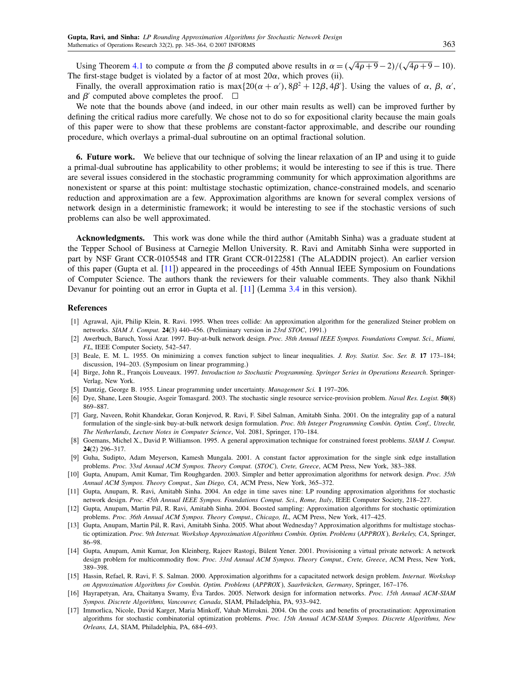<span id="page-18-0"></span>Using Theorem [4.1](#page-13-0) to compute  $\alpha$  from the  $\beta$  computed above results in  $\alpha = (\sqrt{4\rho + 9} - 2)/(\sqrt{4\rho + 9} - 10)$ . The first-stage budget is violated by a factor of at most  $20\alpha$ , which proves (ii).

Finally, the overall approximation ratio is  $\max\{20(\alpha + \alpha'), 8\beta^2 + 12\beta, 4\beta'\}$ . Using the values of  $\alpha, \beta, \alpha'$ , and  $\beta'$  computed above completes the proof.  $\Box$ 

We note that the bounds above (and indeed, in our other main results as well) can be improved further by defining the critical radius more carefully. We chose not to do so for expositional clarity because the main goals of this paper were to show that these problems are constant-factor approximable, and describe our rounding procedure, which overlays a primal-dual subroutine on an optimal fractional solution.

6. Future work. We believe that our technique of solving the linear relaxation of an IP and using it to guide a primal-dual subroutine has applicability to other problems; it would be interesting to see if this is true. There are several issues considered in the stochastic programming community for which approximation algorithms are nonexistent or sparse at this point: multistage stochastic optimization, chance-constrained models, and scenario reduction and approximation are a few. Approximation algorithms are known for several complex versions of network design in a deterministic framework; it would be interesting to see if the stochastic versions of such problems can also be well approximated.

Acknowledgments. This work was done while the third author (Amitabh Sinha) was a graduate student at the Tepper School of Business at Carnegie Mellon University. R. Ravi and Amitabh Sinha were supported in part by NSF Grant CCR-0105548 and ITR Grant CCR-0122581 (The ALADDIN project). An earlier version of this paper (Gupta et al. [11]) appeared in the proceedings of 45th Annual IEEE Symposium on Foundations of Computer Science. The authors thank the reviewers for their valuable comments. They also thank Nikhil Devanur for pointing out an error in Gupta et al. [11] (Lemma [3.4](#page-10-0) in this version).

#### References

- [1] Agrawal, Ajit, Philip Klein, R. Ravi. 1995. When trees collide: An approximation algorithm for the generalized Steiner problem on networks. SIAM J. Comput. 24(3) 440–456. (Preliminary version in 23rd STOC, 1991.)
- [2] Awerbuch, Baruch, Yossi Azar. 1997. Buy-at-bulk network design. Proc. 38th Annual IEEE Sympos. Foundations Comput. Sci., Miami, FL, IEEE Computer Society, 542–547.
- [3] Beale, E. M. L. 1955. On minimizing a convex function subject to linear inequalities. J. Roy. Statist. Soc. Ser. B. 17 173–184; discussion, 194–203. (Symposium on linear programming.)
- [4] Birge, John R., François Louveaux. 1997. Introduction to Stochastic Programming. Springer Series in Operations Research. Springer-Verlag, New York.
- [5] Dantzig, George B. 1955. Linear programming under uncertainty. Management Sci. 1 197-206.
- [6] Dye, Shane, Leen Stougie, Asgeir Tomasgard. 2003. The stochastic single resource service-provision problem. Naval Res. Logist. 50(8) 869–887.
- [7] Garg, Naveen, Rohit Khandekar, Goran Konjevod, R. Ravi, F. Sibel Salman, Amitabh Sinha. 2001. On the integrality gap of a natural formulation of the single-sink buy-at-bulk network design formulation. Proc. 8th Integer Programming Combin. Optim. Conf., Utrecht, The Netherlands, Lecture Notes in Computer Science, Vol. 2081, Springer, 170–184.
- [8] Goemans, Michel X., David P. Williamson. 1995. A general approximation technique for constrained forest problems. SIAM J. Comput. 24(2) 296–317.
- [9] Guha, Sudipto, Adam Meyerson, Kamesh Mungala. 2001. A constant factor approximation for the single sink edge installation problems. Proc. 33rd Annual ACM Sympos. Theory Comput. (STOC), Crete, Greece, ACM Press, New York, 383–388.
- [10] Gupta, Anupam, Amit Kumar, Tim Roughgarden. 2003. Simpler and better approximation algorithms for network design. Proc. 35th Annual ACM Sympos. Theory Comput., San Diego, CA, ACM Press, New York, 365–372.
- [11] Gupta, Anupam, R. Ravi, Amitabh Sinha. 2004. An edge in time saves nine: LP rounding approximation algorithms for stochastic network design. Proc. 45th Annual IEEE Sympos. Foundations Comput. Sci., Rome, Italy, IEEE Computer Society, 218–227.
- [12] Gupta, Anupam, Martin Pál, R. Ravi, Amitabh Sinha. 2004. Boosted sampling: Approximation algorithms for stochastic optimization problems. Proc. 36th Annual ACM Sympos. Theory Comput., Chicago, IL, ACM Press, New York, 417-425.
- [13] Gupta, Anupam, Martin Pál, R. Ravi, Amitabh Sinha. 2005. What about Wednesday? Approximation algorithms for multistage stochastic optimization. Proc. 9th Internat. Workshop Approximation Algorithms Combin. Optim. Problems (APPROX), Berkeley, CA, Springer, 86–98.
- [14] Gupta, Anupam, Amit Kumar, Jon Kleinberg, Rajeev Rastogi, Bülent Yener. 2001. Provisioning a virtual private network: A network design problem for multicommodity flow. Proc. 33rd Annual ACM Sympos. Theory Comput., Crete, Greece, ACM Press, New York, 389–398.
- [15] Hassin, Refael, R. Ravi, F. S. Salman. 2000. Approximation algorithms for a capacitated network design problem. Internat. Workshop on Approximation Algorithms for Combin. Optim. Problems (APPROX), Saarbrücken, Germany, Springer, 167–176.
- [16] Hayrapetyan, Ara, Chaitanya Swamy, Éva Tardos. 2005. Network design for information networks. Proc. 15th Annual ACM-SIAM Sympos. Discrete Algorithms, Vancouver, Canada, SIAM, Philadelphia, PA, 933–942.
- [17] Immorlica, Nicole, David Karger, Maria Minkoff, Vahab Mirrokni. 2004. On the costs and benefits of procrastination: Approximation algorithms for stochastic combinatorial optimization problems. Proc. 15th Annual ACM-SIAM Sympos. Discrete Algorithms, New Orleans, LA, SIAM, Philadelphia, PA, 684–693.